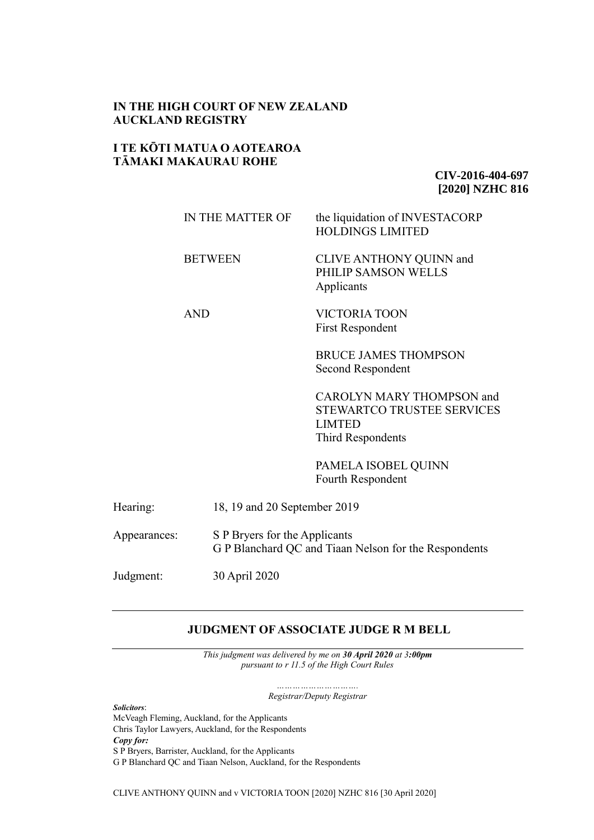# **IN THE HIGH COURT OF NEW ZEALAND AUCKLAND REGISTRY**

# **I TE KŌTI MATUA O AOTEAROA TĀMAKI MAKAURAU ROHE**

**CIV-2016-404-697 [2020] NZHC 816**

|              | IN THE MATTER OF                                                                       |                              | the liquidation of INVESTACORP<br><b>HOLDINGS LIMITED</b>                                                          |
|--------------|----------------------------------------------------------------------------------------|------------------------------|--------------------------------------------------------------------------------------------------------------------|
|              | <b>BETWEEN</b>                                                                         |                              | CLIVE ANTHONY QUINN and<br>PHILIP SAMSON WELLS<br>Applicants                                                       |
|              | <b>AND</b>                                                                             |                              | <b>VICTORIA TOON</b><br><b>First Respondent</b>                                                                    |
|              |                                                                                        |                              | <b>BRUCE JAMES THOMPSON</b><br>Second Respondent                                                                   |
|              |                                                                                        |                              | <b>CAROLYN MARY THOMPSON and</b><br><b>STEWARTCO TRUSTEE SERVICES</b><br><b>LIMTED</b><br><b>Third Respondents</b> |
|              |                                                                                        |                              | PAMELA ISOBEL QUINN<br>Fourth Respondent                                                                           |
| Hearing:     |                                                                                        | 18, 19 and 20 September 2019 |                                                                                                                    |
| Appearances: | S P Bryers for the Applicants<br>G P Blanchard QC and Tiaan Nelson for the Respondents |                              |                                                                                                                    |

Judgment: 30 April 2020

# **JUDGMENT OFASSOCIATE JUDGE R M BELL**

*This judgment was delivered by me on 30 April 2020 at 3:00pm pursuant to r 11.5 of the High Court Rules* 

> *…………………………. Registrar/Deputy Registrar*

*Solicitors*:

McVeagh Fleming, Auckland, for the Applicants Chris Taylor Lawyers, Auckland, for the Respondents *Copy for:* S P Bryers, Barrister, Auckland, for the Applicants G P Blanchard QC and Tiaan Nelson, Auckland, for the Respondents

CLIVE ANTHONY QUINN and v VICTORIA TOON [2020] NZHC 816 [30 April 2020]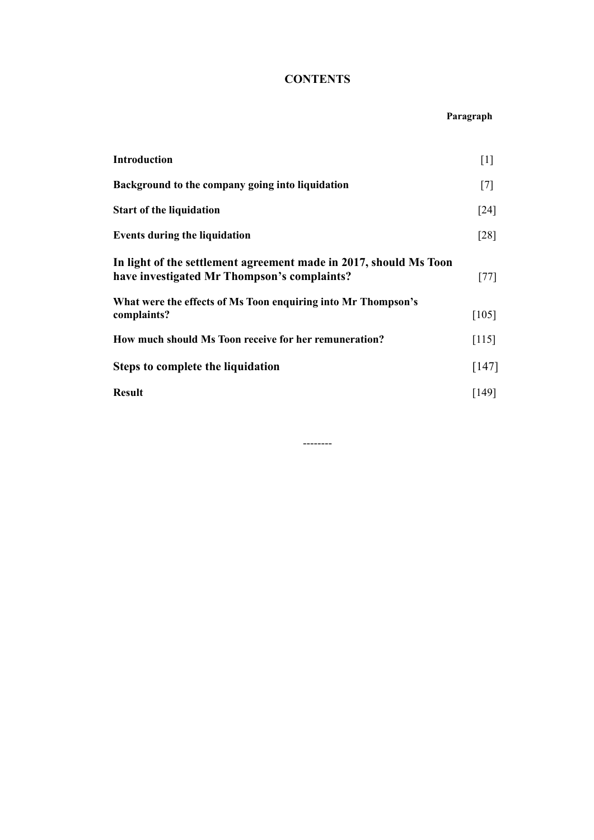# **CONTENTS**

#### **Paragraph**

| Introduction                                                                                                     | $[1]$   |
|------------------------------------------------------------------------------------------------------------------|---------|
| Background to the company going into liquidation                                                                 | $[7]$   |
| <b>Start of the liquidation</b>                                                                                  | [24]    |
| <b>Events during the liquidation</b>                                                                             | [28]    |
| In light of the settlement agreement made in 2017, should Ms Toon<br>have investigated Mr Thompson's complaints? | $[77]$  |
| What were the effects of Ms Toon enquiring into Mr Thompson's<br>complaints?                                     | $[105]$ |
| How much should Ms Toon receive for her remuneration?                                                            | $[115]$ |
| <b>Steps to complete the liquidation</b>                                                                         | $[147]$ |
| <b>Result</b>                                                                                                    | [149]   |
|                                                                                                                  |         |

--------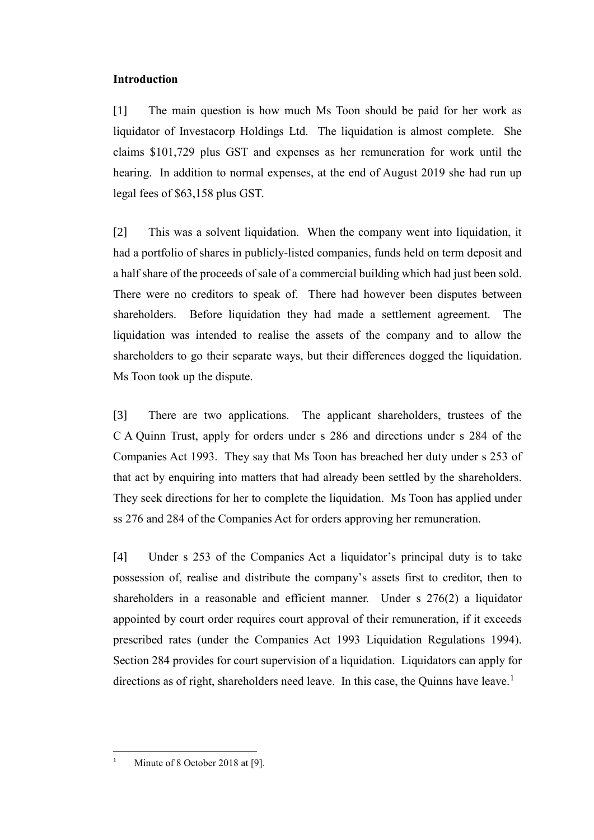# **Introduction**

[1] The main question is how much Ms Toon should be paid for her work as liquidator of Investacorp Holdings Ltd. The liquidation is almost complete. She claims \$101,729 plus GST and expenses as her remuneration for work until the hearing. In addition to normal expenses, at the end of August 2019 she had run up legal fees of \$63,158 plus GST.

[2] This was a solvent liquidation. When the company went into liquidation, it had a portfolio of shares in publicly-listed companies, funds held on term deposit and a half share of the proceeds of sale of a commercial building which had just been sold. There were no creditors to speak of. There had however been disputes between shareholders. Before liquidation they had made a settlement agreement. The liquidation was intended to realise the assets of the company and to allow the shareholders to go their separate ways, but their differences dogged the liquidation. Ms Toon took up the dispute.

[3] There are two applications. The applicant shareholders, trustees of the C A Quinn Trust, apply for orders under s 286 and directions under s 284 of the Companies Act 1993. They say that Ms Toon has breached her duty under s 253 of that act by enquiring into matters that had already been settled by the shareholders. They seek directions for her to complete the liquidation. Ms Toon has applied under ss 276 and 284 of the Companies Act for orders approving her remuneration.

[4] Under s 253 of the Companies Act a liquidator's principal duty is to take possession of, realise and distribute the company's assets first to creditor, then to shareholders in a reasonable and efficient manner. Under s 276(2) a liquidator appointed by court order requires court approval of their remuneration, if it exceeds prescribed rates (under the Companies Act 1993 Liquidation Regulations 1994). Section 284 provides for court supervision of a liquidation. Liquidators can apply for directions as of right, shareholders need leave. In this case, the Quinns have leave.<sup>1</sup>

<sup>1</sup> Minute of 8 October 2018 at [9].

 $\overline{a}$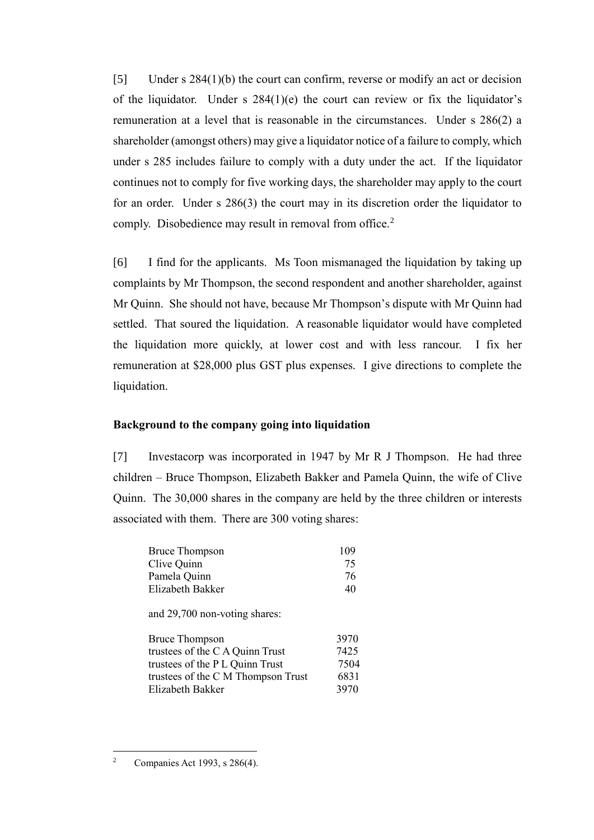[5] Under s 284(1)(b) the court can confirm, reverse or modify an act or decision of the liquidator. Under s  $284(1)(e)$  the court can review or fix the liquidator's remuneration at a level that is reasonable in the circumstances. Under s 286(2) a shareholder (amongst others) may give a liquidator notice of a failure to comply, which under s 285 includes failure to comply with a duty under the act. If the liquidator continues not to comply for five working days, the shareholder may apply to the court for an order. Under s 286(3) the court may in its discretion order the liquidator to comply. Disobedience may result in removal from office.<sup>2</sup>

[6] I find for the applicants. Ms Toon mismanaged the liquidation by taking up complaints by Mr Thompson, the second respondent and another shareholder, against Mr Quinn. She should not have, because Mr Thompson's dispute with Mr Quinn had settled. That soured the liquidation. A reasonable liquidator would have completed the liquidation more quickly, at lower cost and with less rancour. I fix her remuneration at \$28,000 plus GST plus expenses. I give directions to complete the liquidation.

## **Background to the company going into liquidation**

[7] Investacorp was incorporated in 1947 by Mr R J Thompson. He had three children – Bruce Thompson, Elizabeth Bakker and Pamela Quinn, the wife of Clive Quinn. The 30,000 shares in the company are held by the three children or interests associated with them. There are 300 voting shares:

| <b>Bruce Thompson</b>         | 109  |
|-------------------------------|------|
| Clive Quinn                   | 75   |
| Pamela Quinn                  | 76   |
| Elizabeth Bakker              | 40   |
| and 29,700 non-voting shares: |      |
| <b>Bruce Thompson</b>         | 3970 |
|                               |      |

| DI UCC 1 HOIHDSOII                 | <i>JJIV</i> |
|------------------------------------|-------------|
| trustees of the C A Quinn Trust    | 7425        |
| trustees of the P L Quinn Trust    | 7504        |
| trustees of the C M Thompson Trust | 6831        |
| Elizabeth Bakker                   | 3970        |
|                                    |             |

 $\overline{a}$ 

<sup>2</sup> Companies Act 1993, s 286(4).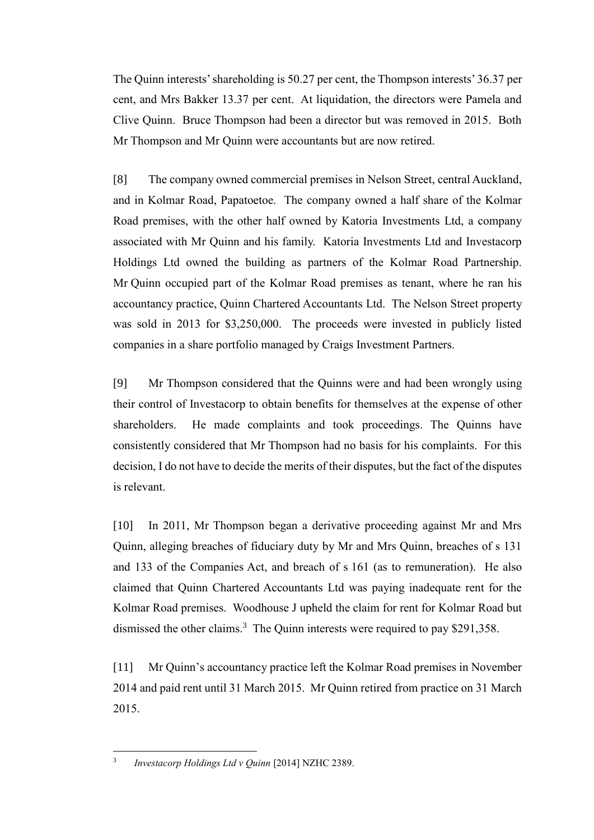The Quinn interests' shareholding is 50.27 per cent, the Thompson interests' 36.37 per cent, and Mrs Bakker 13.37 per cent. At liquidation, the directors were Pamela and Clive Quinn. Bruce Thompson had been a director but was removed in 2015. Both Mr Thompson and Mr Quinn were accountants but are now retired.

[8] The company owned commercial premises in Nelson Street, central Auckland, and in Kolmar Road, Papatoetoe. The company owned a half share of the Kolmar Road premises, with the other half owned by Katoria Investments Ltd, a company associated with Mr Quinn and his family. Katoria Investments Ltd and Investacorp Holdings Ltd owned the building as partners of the Kolmar Road Partnership. Mr Quinn occupied part of the Kolmar Road premises as tenant, where he ran his accountancy practice, Quinn Chartered Accountants Ltd. The Nelson Street property was sold in 2013 for \$3,250,000. The proceeds were invested in publicly listed companies in a share portfolio managed by Craigs Investment Partners.

[9] Mr Thompson considered that the Quinns were and had been wrongly using their control of Investacorp to obtain benefits for themselves at the expense of other shareholders. He made complaints and took proceedings. The Quinns have consistently considered that Mr Thompson had no basis for his complaints. For this decision, I do not have to decide the merits of their disputes, but the fact of the disputes is relevant.

[10] In 2011, Mr Thompson began a derivative proceeding against Mr and Mrs Quinn, alleging breaches of fiduciary duty by Mr and Mrs Quinn, breaches of s 131 and 133 of the Companies Act, and breach of s 161 (as to remuneration). He also claimed that Quinn Chartered Accountants Ltd was paying inadequate rent for the Kolmar Road premises. Woodhouse J upheld the claim for rent for Kolmar Road but dismissed the other claims.<sup>3</sup> The Quinn interests were required to pay \$291,358.

[11] Mr Quinn's accountancy practice left the Kolmar Road premises in November 2014 and paid rent until 31 March 2015. Mr Quinn retired from practice on 31 March 2015.

 $\overline{a}$ 3 *Investacorp Holdings Ltd v Quinn* [2014] NZHC 2389.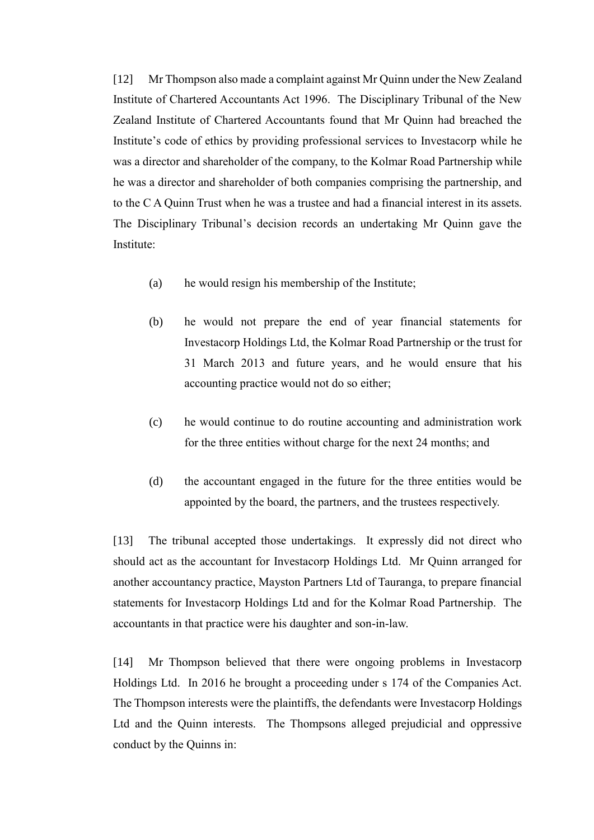[12] Mr Thompson also made a complaint against Mr Quinn under the New Zealand Institute of Chartered Accountants Act 1996. The Disciplinary Tribunal of the New Zealand Institute of Chartered Accountants found that Mr Quinn had breached the Institute's code of ethics by providing professional services to Investacorp while he was a director and shareholder of the company, to the Kolmar Road Partnership while he was a director and shareholder of both companies comprising the partnership, and to the C A Quinn Trust when he was a trustee and had a financial interest in its assets. The Disciplinary Tribunal's decision records an undertaking Mr Quinn gave the Institute:

- (a) he would resign his membership of the Institute;
- (b) he would not prepare the end of year financial statements for Investacorp Holdings Ltd, the Kolmar Road Partnership or the trust for 31 March 2013 and future years, and he would ensure that his accounting practice would not do so either;
- (c) he would continue to do routine accounting and administration work for the three entities without charge for the next 24 months; and
- (d) the accountant engaged in the future for the three entities would be appointed by the board, the partners, and the trustees respectively.

[13] The tribunal accepted those undertakings. It expressly did not direct who should act as the accountant for Investacorp Holdings Ltd. Mr Quinn arranged for another accountancy practice, Mayston Partners Ltd of Tauranga, to prepare financial statements for Investacorp Holdings Ltd and for the Kolmar Road Partnership. The accountants in that practice were his daughter and son-in-law.

[14] Mr Thompson believed that there were ongoing problems in Investacorp Holdings Ltd. In 2016 he brought a proceeding under s 174 of the Companies Act. The Thompson interests were the plaintiffs, the defendants were Investacorp Holdings Ltd and the Quinn interests. The Thompsons alleged prejudicial and oppressive conduct by the Quinns in: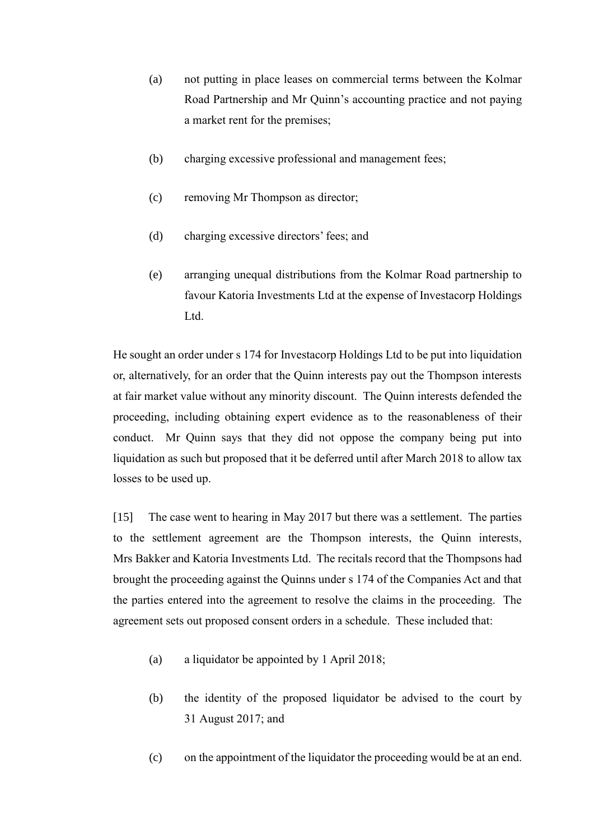- (a) not putting in place leases on commercial terms between the Kolmar Road Partnership and Mr Quinn's accounting practice and not paying a market rent for the premises;
- (b) charging excessive professional and management fees;
- (c) removing Mr Thompson as director;
- (d) charging excessive directors' fees; and
- (e) arranging unequal distributions from the Kolmar Road partnership to favour Katoria Investments Ltd at the expense of Investacorp Holdings Ltd.

He sought an order under s 174 for Investacorp Holdings Ltd to be put into liquidation or, alternatively, for an order that the Quinn interests pay out the Thompson interests at fair market value without any minority discount. The Quinn interests defended the proceeding, including obtaining expert evidence as to the reasonableness of their conduct. Mr Quinn says that they did not oppose the company being put into liquidation as such but proposed that it be deferred until after March 2018 to allow tax losses to be used up.

[15] The case went to hearing in May 2017 but there was a settlement. The parties to the settlement agreement are the Thompson interests, the Quinn interests, Mrs Bakker and Katoria Investments Ltd. The recitals record that the Thompsons had brought the proceeding against the Quinns under s 174 of the Companies Act and that the parties entered into the agreement to resolve the claims in the proceeding. The agreement sets out proposed consent orders in a schedule. These included that:

- (a) a liquidator be appointed by 1 April 2018;
- (b) the identity of the proposed liquidator be advised to the court by 31 August 2017; and
- (c) on the appointment of the liquidator the proceeding would be at an end.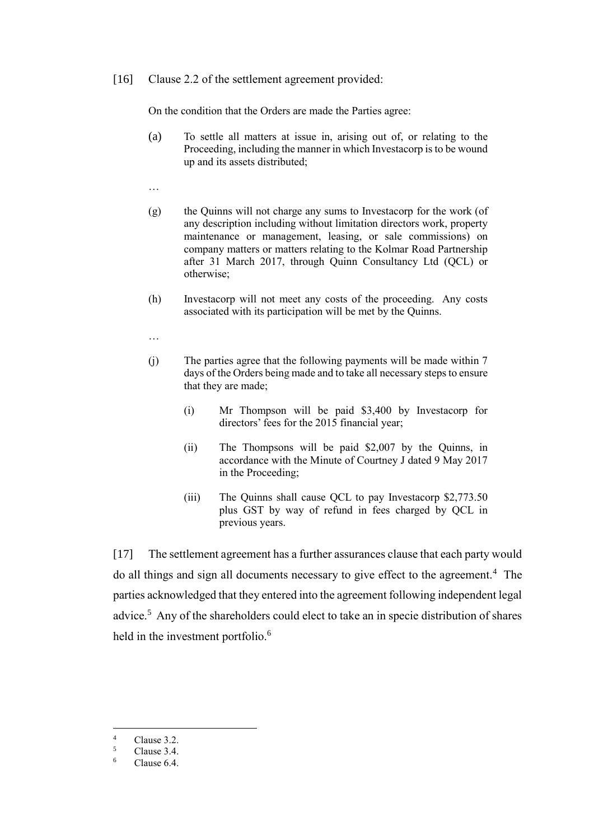[16] Clause 2.2 of the settlement agreement provided:

On the condition that the Orders are made the Parties agree:

- (a) To settle all matters at issue in, arising out of, or relating to the Proceeding, including the manner in which Investacorp is to be wound up and its assets distributed;
- …
- (g) the Quinns will not charge any sums to Investacorp for the work (of any description including without limitation directors work, property maintenance or management, leasing, or sale commissions) on company matters or matters relating to the Kolmar Road Partnership after 31 March 2017, through Quinn Consultancy Ltd (QCL) or otherwise;
- (h) Investacorp will not meet any costs of the proceeding. Any costs associated with its participation will be met by the Quinns.
- …
- (j) The parties agree that the following payments will be made within 7 days of the Orders being made and to take all necessary steps to ensure that they are made;
	- (i) Mr Thompson will be paid \$3,400 by Investacorp for directors' fees for the 2015 financial year;
	- (ii) The Thompsons will be paid \$2,007 by the Quinns, in accordance with the Minute of Courtney J dated 9 May 2017 in the Proceeding;
	- (iii) The Quinns shall cause QCL to pay Investacorp \$2,773.50 plus GST by way of refund in fees charged by QCL in previous years.

[17] The settlement agreement has a further assurances clause that each party would do all things and sign all documents necessary to give effect to the agreement.<sup>4</sup> The parties acknowledged that they entered into the agreement following independent legal advice.<sup>5</sup> Any of the shareholders could elect to take an in specie distribution of shares held in the investment portfolio.<sup>6</sup>

 $\overline{a}$ 

 $\frac{4}{5}$  Clause 3.2.

 $\frac{5}{6}$  Clause 3.4.

Clause 6.4.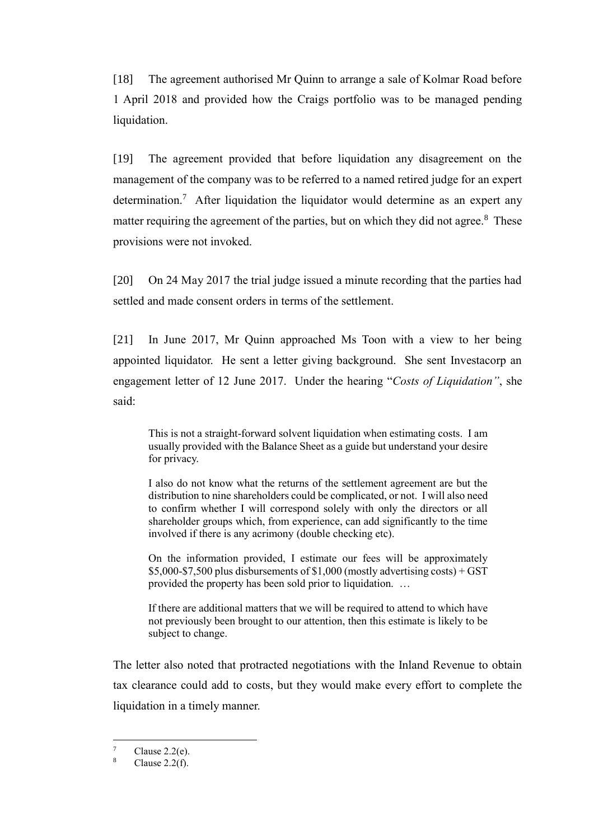[18] The agreement authorised Mr Quinn to arrange a sale of Kolmar Road before 1 April 2018 and provided how the Craigs portfolio was to be managed pending liquidation.

[19] The agreement provided that before liquidation any disagreement on the management of the company was to be referred to a named retired judge for an expert determination.<sup>7</sup> After liquidation the liquidator would determine as an expert any matter requiring the agreement of the parties, but on which they did not agree. $8$  These provisions were not invoked.

[20] On 24 May 2017 the trial judge issued a minute recording that the parties had settled and made consent orders in terms of the settlement.

[21] In June 2017, Mr Quinn approached Ms Toon with a view to her being appointed liquidator. He sent a letter giving background. She sent Investacorp an engagement letter of 12 June 2017. Under the hearing "*Costs of Liquidation"*, she said:

This is not a straight-forward solvent liquidation when estimating costs. I am usually provided with the Balance Sheet as a guide but understand your desire for privacy.

I also do not know what the returns of the settlement agreement are but the distribution to nine shareholders could be complicated, or not. I will also need to confirm whether I will correspond solely with only the directors or all shareholder groups which, from experience, can add significantly to the time involved if there is any acrimony (double checking etc).

On the information provided, I estimate our fees will be approximately  $$5,000-\$7,500$  plus disbursements of  $$1,000$  (mostly advertising costs) + GST provided the property has been sold prior to liquidation. …

If there are additional matters that we will be required to attend to which have not previously been brought to our attention, then this estimate is likely to be subject to change.

The letter also noted that protracted negotiations with the Inland Revenue to obtain tax clearance could add to costs, but they would make every effort to complete the liquidation in a timely manner.

 $\overline{7}$  $\frac{7}{8}$  Clause 2.2(e).

Clause  $2.2(f)$ .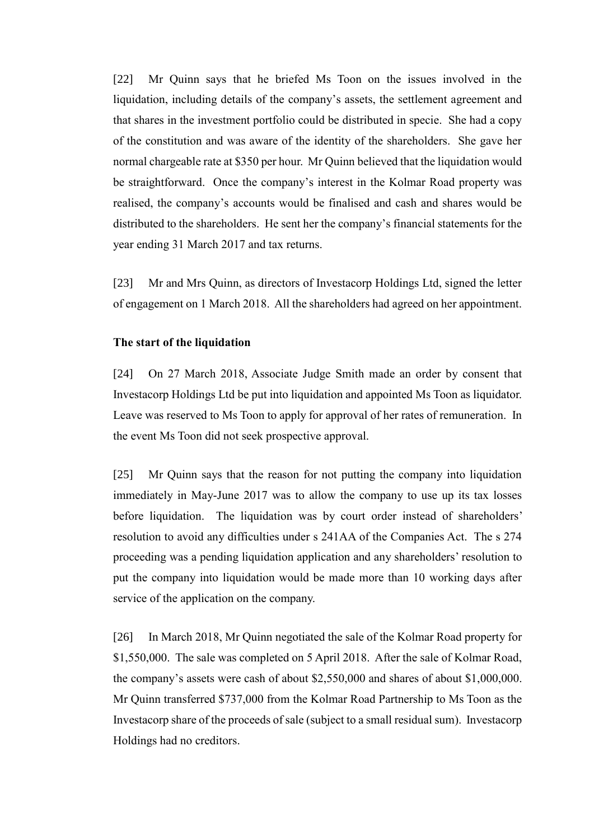[22] Mr Quinn says that he briefed Ms Toon on the issues involved in the liquidation, including details of the company's assets, the settlement agreement and that shares in the investment portfolio could be distributed in specie. She had a copy of the constitution and was aware of the identity of the shareholders. She gave her normal chargeable rate at \$350 per hour. Mr Quinn believed that the liquidation would be straightforward. Once the company's interest in the Kolmar Road property was realised, the company's accounts would be finalised and cash and shares would be distributed to the shareholders. He sent her the company's financial statements for the year ending 31 March 2017 and tax returns.

[23] Mr and Mrs Quinn, as directors of Investacorp Holdings Ltd, signed the letter of engagement on 1 March 2018. All the shareholders had agreed on her appointment.

#### **The start of the liquidation**

[24] On 27 March 2018, Associate Judge Smith made an order by consent that Investacorp Holdings Ltd be put into liquidation and appointed Ms Toon as liquidator. Leave was reserved to Ms Toon to apply for approval of her rates of remuneration. In the event Ms Toon did not seek prospective approval.

[25] Mr Quinn says that the reason for not putting the company into liquidation immediately in May-June 2017 was to allow the company to use up its tax losses before liquidation. The liquidation was by court order instead of shareholders' resolution to avoid any difficulties under s 241AA of the Companies Act. The s 274 proceeding was a pending liquidation application and any shareholders' resolution to put the company into liquidation would be made more than 10 working days after service of the application on the company.

[26] In March 2018, Mr Quinn negotiated the sale of the Kolmar Road property for \$1,550,000. The sale was completed on 5 April 2018. After the sale of Kolmar Road, the company's assets were cash of about \$2,550,000 and shares of about \$1,000,000. Mr Quinn transferred \$737,000 from the Kolmar Road Partnership to Ms Toon as the Investacorp share of the proceeds of sale (subject to a small residual sum). Investacorp Holdings had no creditors.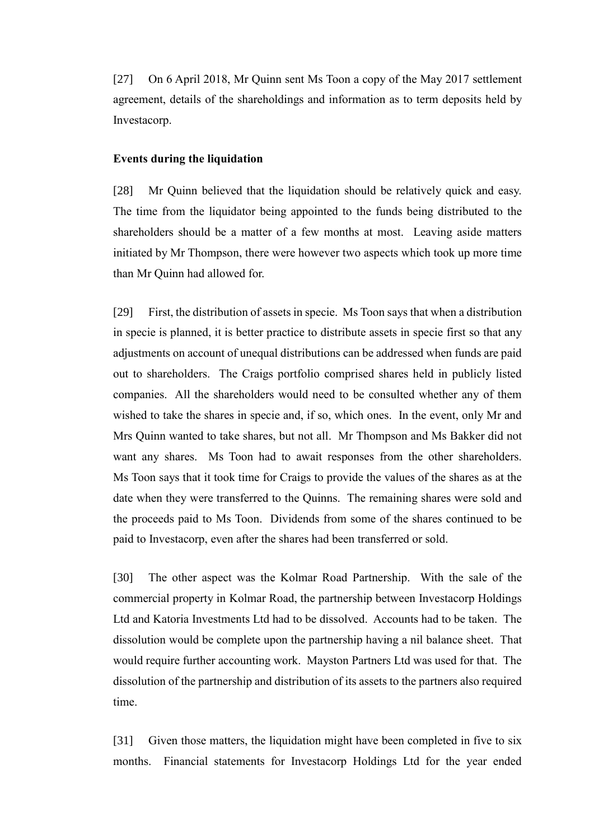[27] On 6 April 2018, Mr Quinn sent Ms Toon a copy of the May 2017 settlement agreement, details of the shareholdings and information as to term deposits held by Investacorp.

#### **Events during the liquidation**

[28] Mr Quinn believed that the liquidation should be relatively quick and easy. The time from the liquidator being appointed to the funds being distributed to the shareholders should be a matter of a few months at most. Leaving aside matters initiated by Mr Thompson, there were however two aspects which took up more time than Mr Quinn had allowed for.

[29] First, the distribution of assets in specie. Ms Toon says that when a distribution in specie is planned, it is better practice to distribute assets in specie first so that any adjustments on account of unequal distributions can be addressed when funds are paid out to shareholders. The Craigs portfolio comprised shares held in publicly listed companies. All the shareholders would need to be consulted whether any of them wished to take the shares in specie and, if so, which ones. In the event, only Mr and Mrs Quinn wanted to take shares, but not all. Mr Thompson and Ms Bakker did not want any shares. Ms Toon had to await responses from the other shareholders. Ms Toon says that it took time for Craigs to provide the values of the shares as at the date when they were transferred to the Quinns. The remaining shares were sold and the proceeds paid to Ms Toon. Dividends from some of the shares continued to be paid to Investacorp, even after the shares had been transferred or sold.

[30] The other aspect was the Kolmar Road Partnership. With the sale of the commercial property in Kolmar Road, the partnership between Investacorp Holdings Ltd and Katoria Investments Ltd had to be dissolved. Accounts had to be taken. The dissolution would be complete upon the partnership having a nil balance sheet. That would require further accounting work. Mayston Partners Ltd was used for that. The dissolution of the partnership and distribution of its assets to the partners also required time.

[31] Given those matters, the liquidation might have been completed in five to six months. Financial statements for Investacorp Holdings Ltd for the year ended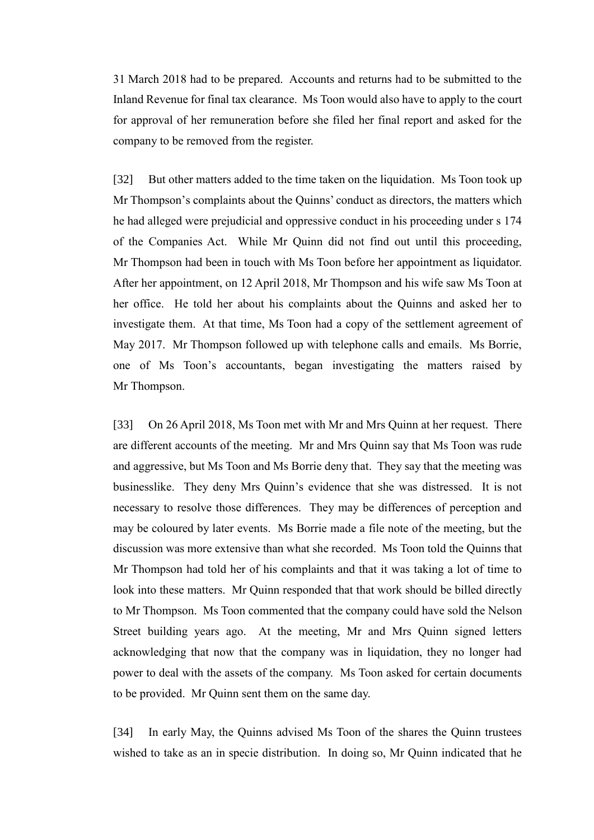31 March 2018 had to be prepared. Accounts and returns had to be submitted to the Inland Revenue for final tax clearance. Ms Toon would also have to apply to the court for approval of her remuneration before she filed her final report and asked for the company to be removed from the register.

[32] But other matters added to the time taken on the liquidation. Ms Toon took up Mr Thompson's complaints about the Quinns' conduct as directors, the matters which he had alleged were prejudicial and oppressive conduct in his proceeding under s 174 of the Companies Act. While Mr Quinn did not find out until this proceeding, Mr Thompson had been in touch with Ms Toon before her appointment as liquidator. After her appointment, on 12 April 2018, Mr Thompson and his wife saw Ms Toon at her office. He told her about his complaints about the Quinns and asked her to investigate them. At that time, Ms Toon had a copy of the settlement agreement of May 2017. Mr Thompson followed up with telephone calls and emails. Ms Borrie, one of Ms Toon's accountants, began investigating the matters raised by Mr Thompson.

[33] On 26 April 2018, Ms Toon met with Mr and Mrs Quinn at her request. There are different accounts of the meeting. Mr and Mrs Quinn say that Ms Toon was rude and aggressive, but Ms Toon and Ms Borrie deny that. They say that the meeting was businesslike. They deny Mrs Quinn's evidence that she was distressed. It is not necessary to resolve those differences. They may be differences of perception and may be coloured by later events. Ms Borrie made a file note of the meeting, but the discussion was more extensive than what she recorded. Ms Toon told the Quinns that Mr Thompson had told her of his complaints and that it was taking a lot of time to look into these matters. Mr Quinn responded that that work should be billed directly to Mr Thompson. Ms Toon commented that the company could have sold the Nelson Street building years ago. At the meeting, Mr and Mrs Quinn signed letters acknowledging that now that the company was in liquidation, they no longer had power to deal with the assets of the company. Ms Toon asked for certain documents to be provided. Mr Quinn sent them on the same day.

[34] In early May, the Quinns advised Ms Toon of the shares the Quinn trustees wished to take as an in specie distribution. In doing so, Mr Quinn indicated that he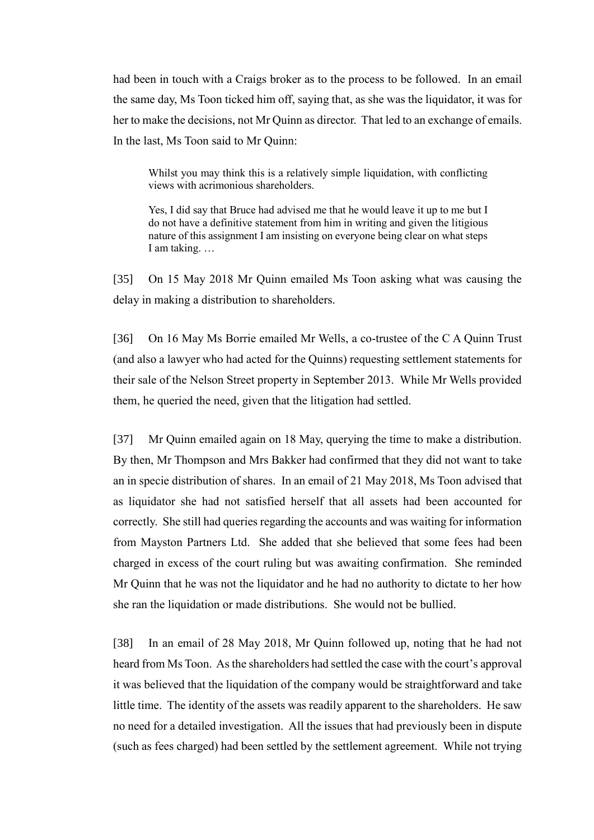had been in touch with a Craigs broker as to the process to be followed. In an email the same day, Ms Toon ticked him off, saying that, as she was the liquidator, it was for her to make the decisions, not Mr Quinn as director. That led to an exchange of emails. In the last, Ms Toon said to Mr Quinn:

Whilst you may think this is a relatively simple liquidation, with conflicting views with acrimonious shareholders.

Yes, I did say that Bruce had advised me that he would leave it up to me but I do not have a definitive statement from him in writing and given the litigious nature of this assignment I am insisting on everyone being clear on what steps I am taking. …

[35] On 15 May 2018 Mr Quinn emailed Ms Toon asking what was causing the delay in making a distribution to shareholders.

[36] On 16 May Ms Borrie emailed Mr Wells, a co-trustee of the C A Quinn Trust (and also a lawyer who had acted for the Quinns) requesting settlement statements for their sale of the Nelson Street property in September 2013. While Mr Wells provided them, he queried the need, given that the litigation had settled.

[37] Mr Quinn emailed again on 18 May, querying the time to make a distribution. By then, Mr Thompson and Mrs Bakker had confirmed that they did not want to take an in specie distribution of shares. In an email of 21 May 2018, Ms Toon advised that as liquidator she had not satisfied herself that all assets had been accounted for correctly. She still had queries regarding the accounts and was waiting for information from Mayston Partners Ltd. She added that she believed that some fees had been charged in excess of the court ruling but was awaiting confirmation. She reminded Mr Quinn that he was not the liquidator and he had no authority to dictate to her how she ran the liquidation or made distributions. She would not be bullied.

[38] In an email of 28 May 2018, Mr Quinn followed up, noting that he had not heard from Ms Toon. As the shareholders had settled the case with the court's approval it was believed that the liquidation of the company would be straightforward and take little time. The identity of the assets was readily apparent to the shareholders. He saw no need for a detailed investigation. All the issues that had previously been in dispute (such as fees charged) had been settled by the settlement agreement. While not trying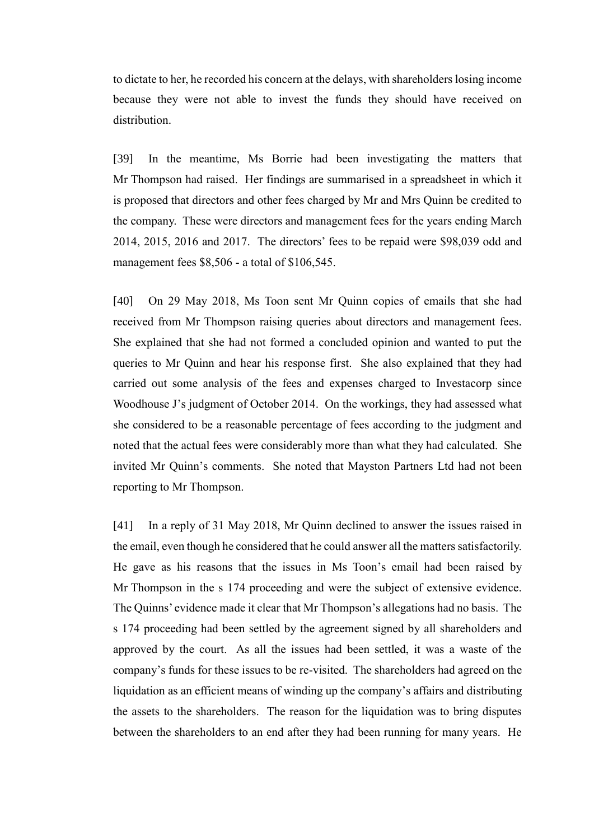to dictate to her, he recorded his concern at the delays, with shareholders losing income because they were not able to invest the funds they should have received on distribution.

[39] In the meantime, Ms Borrie had been investigating the matters that Mr Thompson had raised. Her findings are summarised in a spreadsheet in which it is proposed that directors and other fees charged by Mr and Mrs Quinn be credited to the company. These were directors and management fees for the years ending March 2014, 2015, 2016 and 2017. The directors' fees to be repaid were \$98,039 odd and management fees \$8,506 - a total of \$106,545.

[40] On 29 May 2018, Ms Toon sent Mr Quinn copies of emails that she had received from Mr Thompson raising queries about directors and management fees. She explained that she had not formed a concluded opinion and wanted to put the queries to Mr Quinn and hear his response first. She also explained that they had carried out some analysis of the fees and expenses charged to Investacorp since Woodhouse J's judgment of October 2014. On the workings, they had assessed what she considered to be a reasonable percentage of fees according to the judgment and noted that the actual fees were considerably more than what they had calculated. She invited Mr Quinn's comments. She noted that Mayston Partners Ltd had not been reporting to Mr Thompson.

[41] In a reply of 31 May 2018, Mr Quinn declined to answer the issues raised in the email, even though he considered that he could answer all the matters satisfactorily. He gave as his reasons that the issues in Ms Toon's email had been raised by Mr Thompson in the s 174 proceeding and were the subject of extensive evidence. The Quinns' evidence made it clear that Mr Thompson's allegations had no basis. The s 174 proceeding had been settled by the agreement signed by all shareholders and approved by the court. As all the issues had been settled, it was a waste of the company's funds for these issues to be re-visited. The shareholders had agreed on the liquidation as an efficient means of winding up the company's affairs and distributing the assets to the shareholders. The reason for the liquidation was to bring disputes between the shareholders to an end after they had been running for many years. He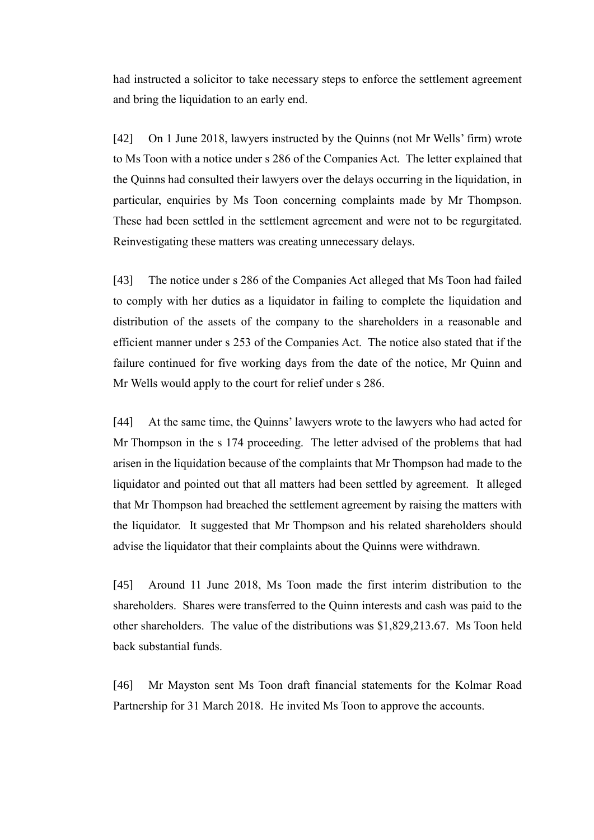had instructed a solicitor to take necessary steps to enforce the settlement agreement and bring the liquidation to an early end.

[42] On 1 June 2018, lawyers instructed by the Quinns (not Mr Wells' firm) wrote to Ms Toon with a notice under s 286 of the Companies Act. The letter explained that the Quinns had consulted their lawyers over the delays occurring in the liquidation, in particular, enquiries by Ms Toon concerning complaints made by Mr Thompson. These had been settled in the settlement agreement and were not to be regurgitated. Reinvestigating these matters was creating unnecessary delays.

[43] The notice under s 286 of the Companies Act alleged that Ms Toon had failed to comply with her duties as a liquidator in failing to complete the liquidation and distribution of the assets of the company to the shareholders in a reasonable and efficient manner under s 253 of the Companies Act. The notice also stated that if the failure continued for five working days from the date of the notice, Mr Quinn and Mr Wells would apply to the court for relief under s 286.

[44] At the same time, the Quinns' lawyers wrote to the lawyers who had acted for Mr Thompson in the s 174 proceeding. The letter advised of the problems that had arisen in the liquidation because of the complaints that Mr Thompson had made to the liquidator and pointed out that all matters had been settled by agreement. It alleged that Mr Thompson had breached the settlement agreement by raising the matters with the liquidator. It suggested that Mr Thompson and his related shareholders should advise the liquidator that their complaints about the Quinns were withdrawn.

[45] Around 11 June 2018, Ms Toon made the first interim distribution to the shareholders. Shares were transferred to the Quinn interests and cash was paid to the other shareholders. The value of the distributions was \$1,829,213.67. Ms Toon held back substantial funds.

[46] Mr Mayston sent Ms Toon draft financial statements for the Kolmar Road Partnership for 31 March 2018. He invited Ms Toon to approve the accounts.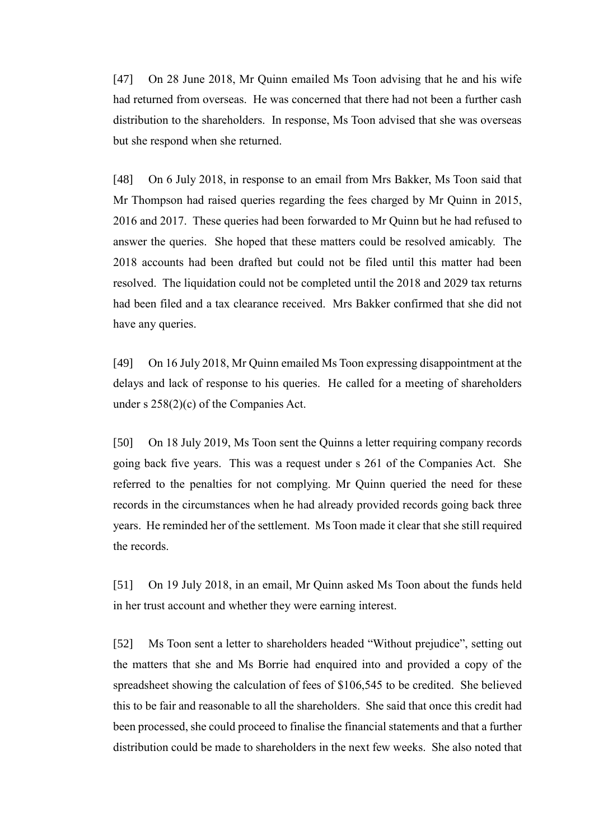[47] On 28 June 2018, Mr Quinn emailed Ms Toon advising that he and his wife had returned from overseas. He was concerned that there had not been a further cash distribution to the shareholders. In response, Ms Toon advised that she was overseas but she respond when she returned.

[48] On 6 July 2018, in response to an email from Mrs Bakker, Ms Toon said that Mr Thompson had raised queries regarding the fees charged by Mr Quinn in 2015, 2016 and 2017. These queries had been forwarded to Mr Quinn but he had refused to answer the queries. She hoped that these matters could be resolved amicably. The 2018 accounts had been drafted but could not be filed until this matter had been resolved. The liquidation could not be completed until the 2018 and 2029 tax returns had been filed and a tax clearance received. Mrs Bakker confirmed that she did not have any queries.

[49] On 16 July 2018, Mr Quinn emailed Ms Toon expressing disappointment at the delays and lack of response to his queries. He called for a meeting of shareholders under s 258(2)(c) of the Companies Act.

[50] On 18 July 2019, Ms Toon sent the Quinns a letter requiring company records going back five years. This was a request under s 261 of the Companies Act. She referred to the penalties for not complying. Mr Quinn queried the need for these records in the circumstances when he had already provided records going back three years. He reminded her of the settlement. Ms Toon made it clear that she still required the records.

[51] On 19 July 2018, in an email, Mr Quinn asked Ms Toon about the funds held in her trust account and whether they were earning interest.

[52] Ms Toon sent a letter to shareholders headed "Without prejudice", setting out the matters that she and Ms Borrie had enquired into and provided a copy of the spreadsheet showing the calculation of fees of \$106,545 to be credited. She believed this to be fair and reasonable to all the shareholders. She said that once this credit had been processed, she could proceed to finalise the financial statements and that a further distribution could be made to shareholders in the next few weeks. She also noted that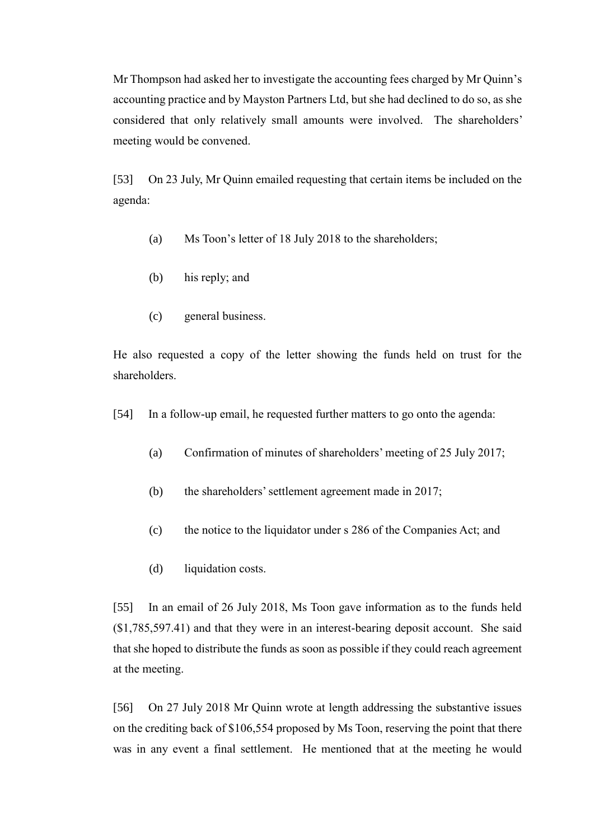Mr Thompson had asked her to investigate the accounting fees charged by Mr Quinn's accounting practice and by Mayston Partners Ltd, but she had declined to do so, as she considered that only relatively small amounts were involved. The shareholders' meeting would be convened.

[53] On 23 July, Mr Quinn emailed requesting that certain items be included on the agenda:

- (a) Ms Toon's letter of 18 July 2018 to the shareholders;
- (b) his reply; and
- (c) general business.

He also requested a copy of the letter showing the funds held on trust for the shareholders.

[54] In a follow-up email, he requested further matters to go onto the agenda:

- (a) Confirmation of minutes of shareholders' meeting of 25 July 2017;
- (b) the shareholders' settlement agreement made in 2017;
- (c) the notice to the liquidator under s 286 of the Companies Act; and
- (d) liquidation costs.

[55] In an email of 26 July 2018, Ms Toon gave information as to the funds held (\$1,785,597.41) and that they were in an interest-bearing deposit account. She said that she hoped to distribute the funds as soon as possible if they could reach agreement at the meeting.

[56] On 27 July 2018 Mr Quinn wrote at length addressing the substantive issues on the crediting back of \$106,554 proposed by Ms Toon, reserving the point that there was in any event a final settlement. He mentioned that at the meeting he would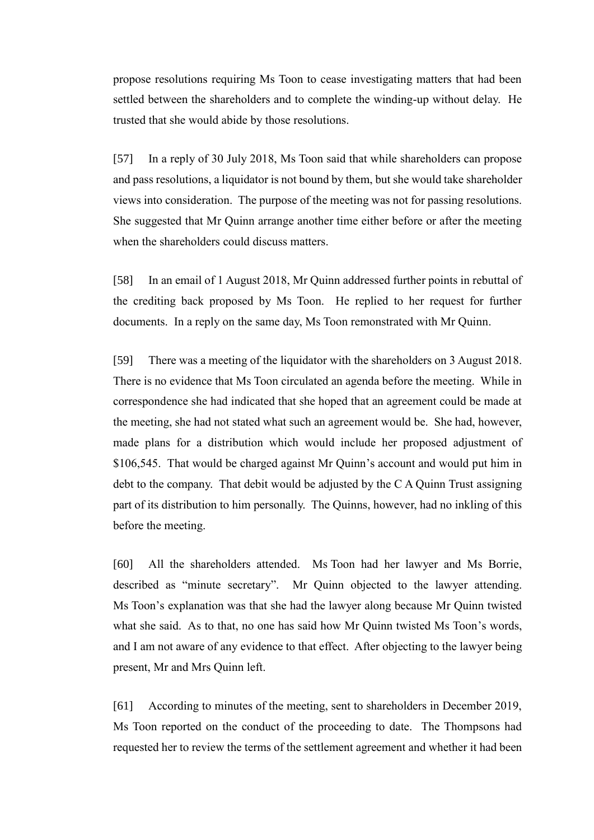propose resolutions requiring Ms Toon to cease investigating matters that had been settled between the shareholders and to complete the winding-up without delay. He trusted that she would abide by those resolutions.

[57] In a reply of 30 July 2018, Ms Toon said that while shareholders can propose and pass resolutions, a liquidator is not bound by them, but she would take shareholder views into consideration. The purpose of the meeting was not for passing resolutions. She suggested that Mr Quinn arrange another time either before or after the meeting when the shareholders could discuss matters.

[58] In an email of 1 August 2018, Mr Quinn addressed further points in rebuttal of the crediting back proposed by Ms Toon. He replied to her request for further documents. In a reply on the same day, Ms Toon remonstrated with Mr Quinn.

[59] There was a meeting of the liquidator with the shareholders on 3 August 2018. There is no evidence that Ms Toon circulated an agenda before the meeting. While in correspondence she had indicated that she hoped that an agreement could be made at the meeting, she had not stated what such an agreement would be. She had, however, made plans for a distribution which would include her proposed adjustment of \$106,545. That would be charged against Mr Quinn's account and would put him in debt to the company. That debit would be adjusted by the C A Quinn Trust assigning part of its distribution to him personally. The Quinns, however, had no inkling of this before the meeting.

[60] All the shareholders attended. Ms Toon had her lawyer and Ms Borrie, described as "minute secretary". Mr Quinn objected to the lawyer attending. Ms Toon's explanation was that she had the lawyer along because Mr Quinn twisted what she said. As to that, no one has said how Mr Quinn twisted Ms Toon's words, and I am not aware of any evidence to that effect. After objecting to the lawyer being present, Mr and Mrs Quinn left.

[61] According to minutes of the meeting, sent to shareholders in December 2019, Ms Toon reported on the conduct of the proceeding to date. The Thompsons had requested her to review the terms of the settlement agreement and whether it had been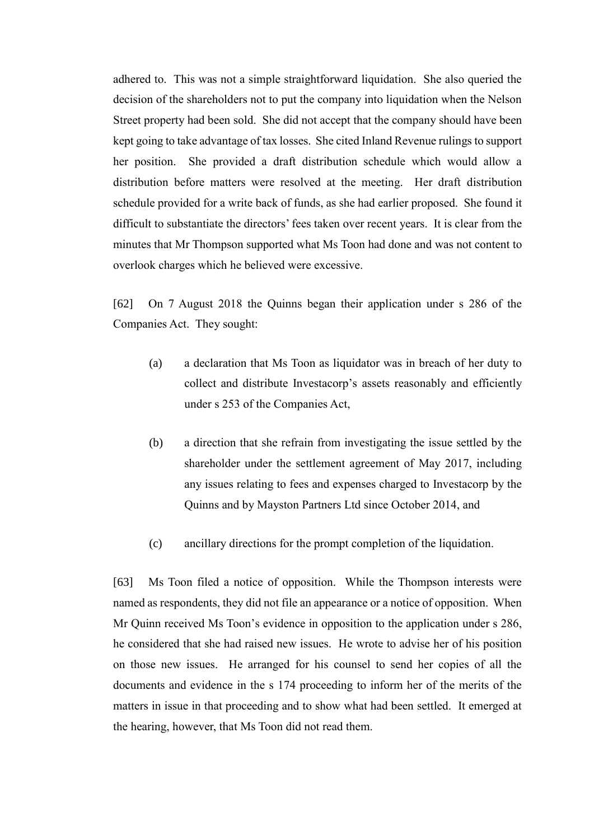adhered to. This was not a simple straightforward liquidation. She also queried the decision of the shareholders not to put the company into liquidation when the Nelson Street property had been sold. She did not accept that the company should have been kept going to take advantage of tax losses. She cited Inland Revenue rulings to support her position. She provided a draft distribution schedule which would allow a distribution before matters were resolved at the meeting. Her draft distribution schedule provided for a write back of funds, as she had earlier proposed. She found it difficult to substantiate the directors' fees taken over recent years. It is clear from the minutes that Mr Thompson supported what Ms Toon had done and was not content to overlook charges which he believed were excessive.

[62] On 7 August 2018 the Quinns began their application under s 286 of the Companies Act. They sought:

- (a) a declaration that Ms Toon as liquidator was in breach of her duty to collect and distribute Investacorp's assets reasonably and efficiently under s 253 of the Companies Act,
- (b) a direction that she refrain from investigating the issue settled by the shareholder under the settlement agreement of May 2017, including any issues relating to fees and expenses charged to Investacorp by the Quinns and by Mayston Partners Ltd since October 2014, and
- (c) ancillary directions for the prompt completion of the liquidation.

[63] Ms Toon filed a notice of opposition. While the Thompson interests were named as respondents, they did not file an appearance or a notice of opposition. When Mr Quinn received Ms Toon's evidence in opposition to the application under s 286, he considered that she had raised new issues. He wrote to advise her of his position on those new issues. He arranged for his counsel to send her copies of all the documents and evidence in the s 174 proceeding to inform her of the merits of the matters in issue in that proceeding and to show what had been settled. It emerged at the hearing, however, that Ms Toon did not read them.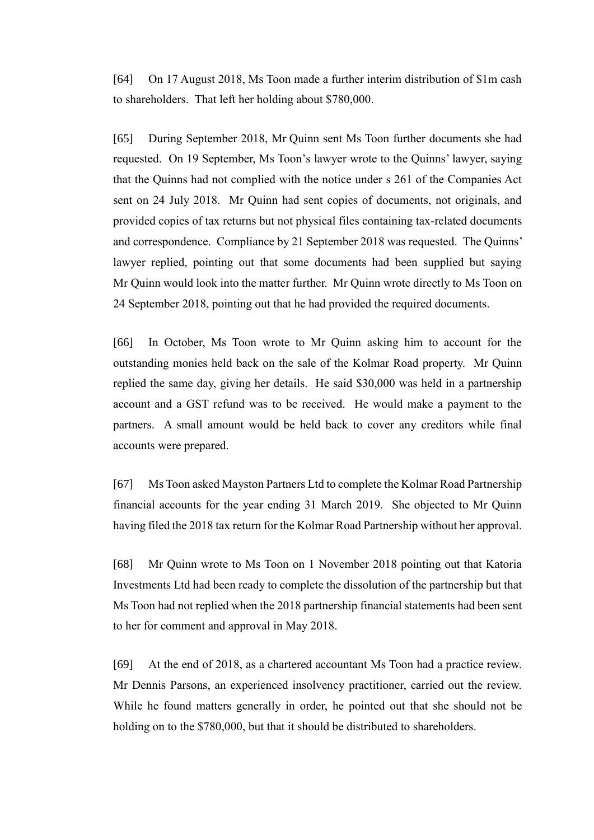[64] On 17 August 2018, Ms Toon made a further interim distribution of \$1m cash to shareholders. That left her holding about \$780,000.

[65] During September 2018, Mr Quinn sent Ms Toon further documents she had requested. On 19 September, Ms Toon's lawyer wrote to the Quinns' lawyer, saying that the Quinns had not complied with the notice under s 261 of the Companies Act sent on 24 July 2018. Mr Quinn had sent copies of documents, not originals, and provided copies of tax returns but not physical files containing tax-related documents and correspondence. Compliance by 21 September 2018 was requested. The Quinns' lawyer replied, pointing out that some documents had been supplied but saying Mr Quinn would look into the matter further. Mr Quinn wrote directly to Ms Toon on 24 September 2018, pointing out that he had provided the required documents.

[66] In October, Ms Toon wrote to Mr Quinn asking him to account for the outstanding monies held back on the sale of the Kolmar Road property. Mr Quinn replied the same day, giving her details. He said \$30,000 was held in a partnership account and a GST refund was to be received. He would make a payment to the partners. A small amount would be held back to cover any creditors while final accounts were prepared.

[67] Ms Toon asked Mayston Partners Ltd to complete the Kolmar Road Partnership financial accounts for the year ending 31 March 2019. She objected to Mr Quinn having filed the 2018 tax return for the Kolmar Road Partnership without her approval.

[68] Mr Quinn wrote to Ms Toon on 1 November 2018 pointing out that Katoria Investments Ltd had been ready to complete the dissolution of the partnership but that Ms Toon had not replied when the 2018 partnership financial statements had been sent to her for comment and approval in May 2018.

[69] At the end of 2018, as a chartered accountant Ms Toon had a practice review. Mr Dennis Parsons, an experienced insolvency practitioner, carried out the review. While he found matters generally in order, he pointed out that she should not be holding on to the \$780,000, but that it should be distributed to shareholders.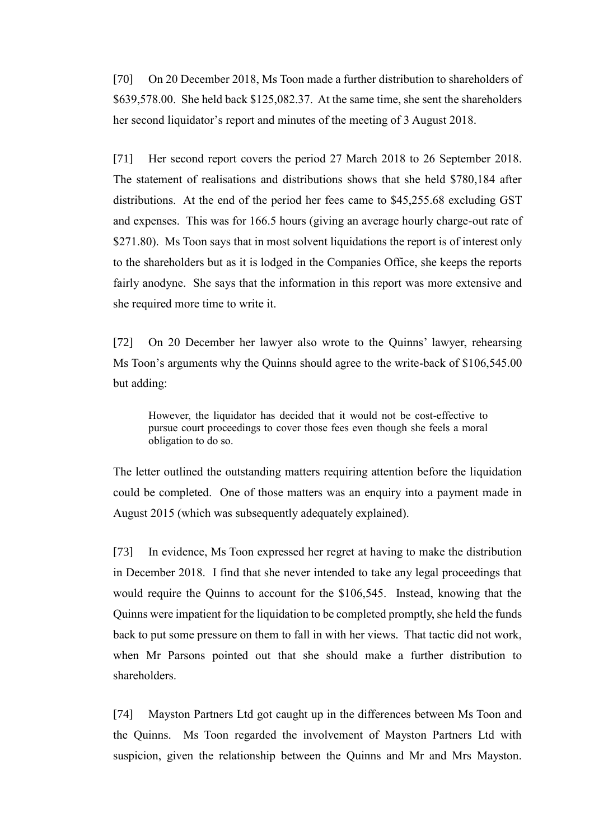[70] On 20 December 2018, Ms Toon made a further distribution to shareholders of \$639,578.00. She held back \$125,082.37. At the same time, she sent the shareholders her second liquidator's report and minutes of the meeting of 3 August 2018.

[71] Her second report covers the period 27 March 2018 to 26 September 2018. The statement of realisations and distributions shows that she held \$780,184 after distributions. At the end of the period her fees came to \$45,255.68 excluding GST and expenses. This was for 166.5 hours (giving an average hourly charge-out rate of \$271.80). Ms Toon says that in most solvent liquidations the report is of interest only to the shareholders but as it is lodged in the Companies Office, she keeps the reports fairly anodyne. She says that the information in this report was more extensive and she required more time to write it.

[72] On 20 December her lawyer also wrote to the Quinns' lawyer, rehearsing Ms Toon's arguments why the Quinns should agree to the write-back of \$106,545.00 but adding:

However, the liquidator has decided that it would not be cost-effective to pursue court proceedings to cover those fees even though she feels a moral obligation to do so.

The letter outlined the outstanding matters requiring attention before the liquidation could be completed. One of those matters was an enquiry into a payment made in August 2015 (which was subsequently adequately explained).

[73] In evidence, Ms Toon expressed her regret at having to make the distribution in December 2018. I find that she never intended to take any legal proceedings that would require the Quinns to account for the \$106,545. Instead, knowing that the Quinns were impatient for the liquidation to be completed promptly, she held the funds back to put some pressure on them to fall in with her views. That tactic did not work, when Mr Parsons pointed out that she should make a further distribution to shareholders.

[74] Mayston Partners Ltd got caught up in the differences between Ms Toon and the Quinns. Ms Toon regarded the involvement of Mayston Partners Ltd with suspicion, given the relationship between the Quinns and Mr and Mrs Mayston.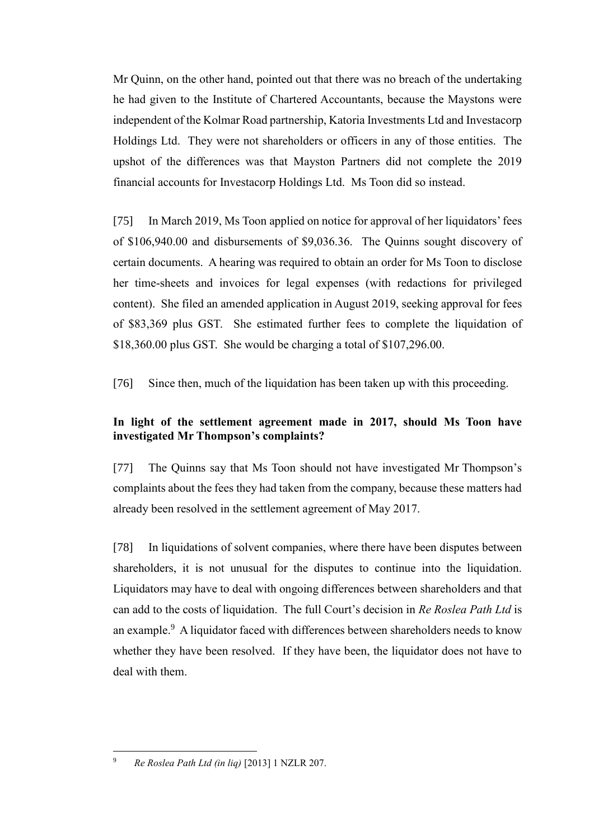Mr Quinn, on the other hand, pointed out that there was no breach of the undertaking he had given to the Institute of Chartered Accountants, because the Maystons were independent of the Kolmar Road partnership, Katoria Investments Ltd and Investacorp Holdings Ltd. They were not shareholders or officers in any of those entities. The upshot of the differences was that Mayston Partners did not complete the 2019 financial accounts for Investacorp Holdings Ltd. Ms Toon did so instead.

[75] In March 2019, Ms Toon applied on notice for approval of her liquidators' fees of \$106,940.00 and disbursements of \$9,036.36. The Quinns sought discovery of certain documents. A hearing was required to obtain an order for Ms Toon to disclose her time-sheets and invoices for legal expenses (with redactions for privileged content). She filed an amended application in August 2019, seeking approval for fees of \$83,369 plus GST. She estimated further fees to complete the liquidation of \$18,360.00 plus GST. She would be charging a total of \$107,296.00.

[76] Since then, much of the liquidation has been taken up with this proceeding.

# **In light of the settlement agreement made in 2017, should Ms Toon have investigated Mr Thompson's complaints?**

[77] The Quinns say that Ms Toon should not have investigated Mr Thompson's complaints about the fees they had taken from the company, because these matters had already been resolved in the settlement agreement of May 2017.

[78] In liquidations of solvent companies, where there have been disputes between shareholders, it is not unusual for the disputes to continue into the liquidation. Liquidators may have to deal with ongoing differences between shareholders and that can add to the costs of liquidation. The full Court's decision in *Re Roslea Path Ltd* is an example.<sup>9</sup> A liquidator faced with differences between shareholders needs to know whether they have been resolved. If they have been, the liquidator does not have to deal with them.

 $\overline{a}$ <sup>9</sup> *Re Roslea Path Ltd (in liq)* [2013] 1 NZLR 207.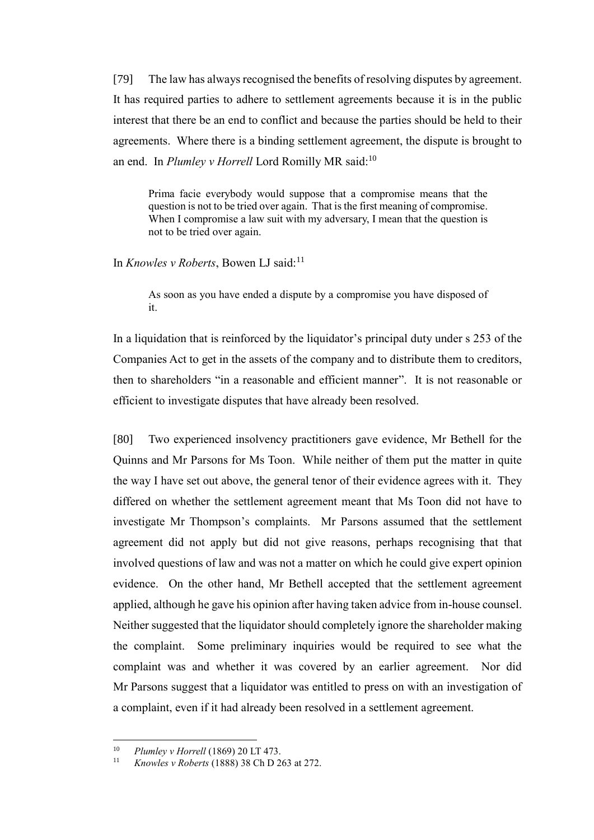[79] The law has always recognised the benefits of resolving disputes by agreement. It has required parties to adhere to settlement agreements because it is in the public interest that there be an end to conflict and because the parties should be held to their agreements. Where there is a binding settlement agreement, the dispute is brought to an end. In *Plumley v Horrell* Lord Romilly MR said:<sup>10</sup>

Prima facie everybody would suppose that a compromise means that the question is not to be tried over again. That is the first meaning of compromise. When I compromise a law suit with my adversary, I mean that the question is not to be tried over again.

In *Knowles v Roberts*, Bowen LJ said:<sup>11</sup>

As soon as you have ended a dispute by a compromise you have disposed of it.

In a liquidation that is reinforced by the liquidator's principal duty under s 253 of the Companies Act to get in the assets of the company and to distribute them to creditors, then to shareholders "in a reasonable and efficient manner". It is not reasonable or efficient to investigate disputes that have already been resolved.

[80] Two experienced insolvency practitioners gave evidence, Mr Bethell for the Quinns and Mr Parsons for Ms Toon. While neither of them put the matter in quite the way I have set out above, the general tenor of their evidence agrees with it. They differed on whether the settlement agreement meant that Ms Toon did not have to investigate Mr Thompson's complaints. Mr Parsons assumed that the settlement agreement did not apply but did not give reasons, perhaps recognising that that involved questions of law and was not a matter on which he could give expert opinion evidence. On the other hand, Mr Bethell accepted that the settlement agreement applied, although he gave his opinion after having taken advice from in-house counsel. Neither suggested that the liquidator should completely ignore the shareholder making the complaint. Some preliminary inquiries would be required to see what the complaint was and whether it was covered by an earlier agreement. Nor did Mr Parsons suggest that a liquidator was entitled to press on with an investigation of a complaint, even if it had already been resolved in a settlement agreement.

 $10$ <sup>10</sup> *Plumley v Horrell* (1869) 20 LT 473.

<sup>11</sup> *Knowles v Roberts* (1888) 38 Ch D 263 at 272.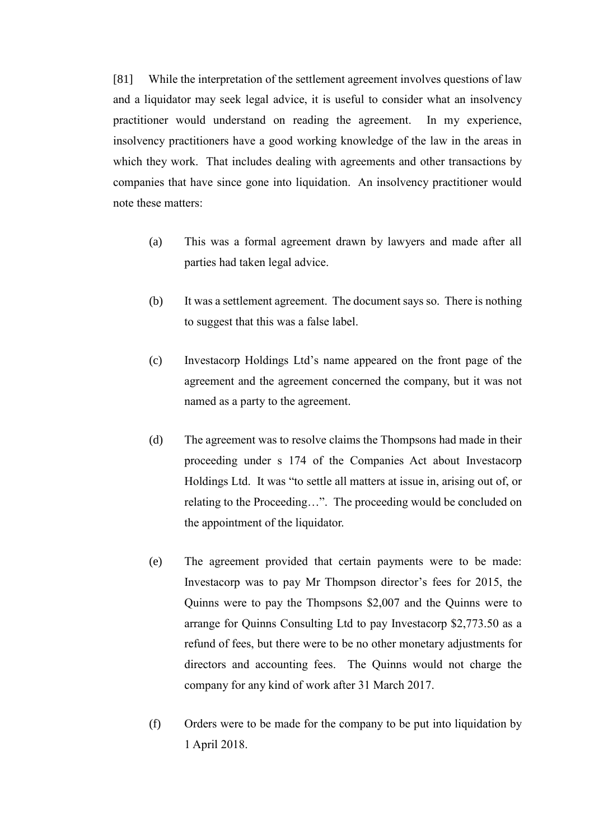[81] While the interpretation of the settlement agreement involves questions of law and a liquidator may seek legal advice, it is useful to consider what an insolvency practitioner would understand on reading the agreement. In my experience, insolvency practitioners have a good working knowledge of the law in the areas in which they work. That includes dealing with agreements and other transactions by companies that have since gone into liquidation. An insolvency practitioner would note these matters:

- (a) This was a formal agreement drawn by lawyers and made after all parties had taken legal advice.
- (b) It was a settlement agreement. The document says so. There is nothing to suggest that this was a false label.
- (c) Investacorp Holdings Ltd's name appeared on the front page of the agreement and the agreement concerned the company, but it was not named as a party to the agreement.
- (d) The agreement was to resolve claims the Thompsons had made in their proceeding under s 174 of the Companies Act about Investacorp Holdings Ltd. It was "to settle all matters at issue in, arising out of, or relating to the Proceeding…". The proceeding would be concluded on the appointment of the liquidator.
- (e) The agreement provided that certain payments were to be made: Investacorp was to pay Mr Thompson director's fees for 2015, the Quinns were to pay the Thompsons \$2,007 and the Quinns were to arrange for Quinns Consulting Ltd to pay Investacorp \$2,773.50 as a refund of fees, but there were to be no other monetary adjustments for directors and accounting fees. The Quinns would not charge the company for any kind of work after 31 March 2017.
- (f) Orders were to be made for the company to be put into liquidation by 1 April 2018.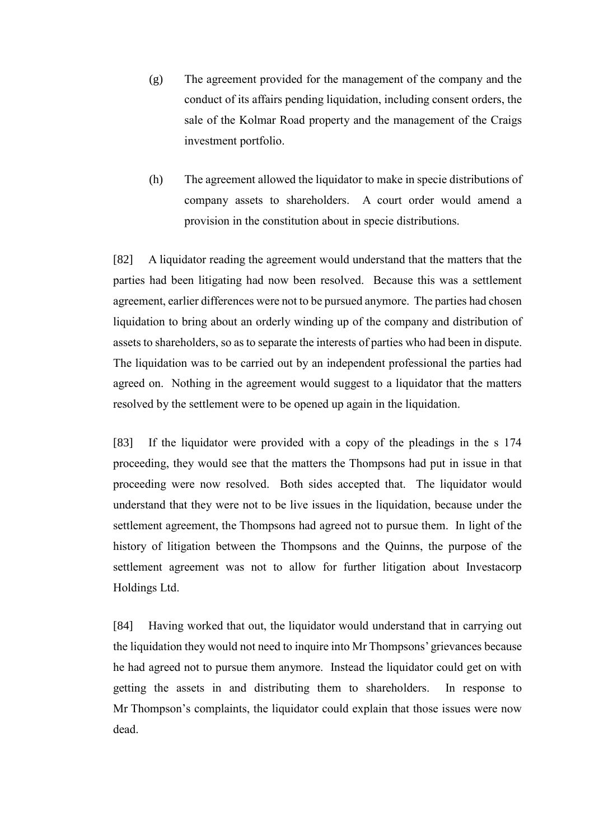- (g) The agreement provided for the management of the company and the conduct of its affairs pending liquidation, including consent orders, the sale of the Kolmar Road property and the management of the Craigs investment portfolio.
- (h) The agreement allowed the liquidator to make in specie distributions of company assets to shareholders. A court order would amend a provision in the constitution about in specie distributions.

[82] A liquidator reading the agreement would understand that the matters that the parties had been litigating had now been resolved. Because this was a settlement agreement, earlier differences were not to be pursued anymore. The parties had chosen liquidation to bring about an orderly winding up of the company and distribution of assets to shareholders, so as to separate the interests of parties who had been in dispute. The liquidation was to be carried out by an independent professional the parties had agreed on. Nothing in the agreement would suggest to a liquidator that the matters resolved by the settlement were to be opened up again in the liquidation.

[83] If the liquidator were provided with a copy of the pleadings in the s 174 proceeding, they would see that the matters the Thompsons had put in issue in that proceeding were now resolved. Both sides accepted that. The liquidator would understand that they were not to be live issues in the liquidation, because under the settlement agreement, the Thompsons had agreed not to pursue them. In light of the history of litigation between the Thompsons and the Quinns, the purpose of the settlement agreement was not to allow for further litigation about Investacorp Holdings Ltd.

[84] Having worked that out, the liquidator would understand that in carrying out the liquidation they would not need to inquire into Mr Thompsons' grievances because he had agreed not to pursue them anymore. Instead the liquidator could get on with getting the assets in and distributing them to shareholders. In response to Mr Thompson's complaints, the liquidator could explain that those issues were now dead.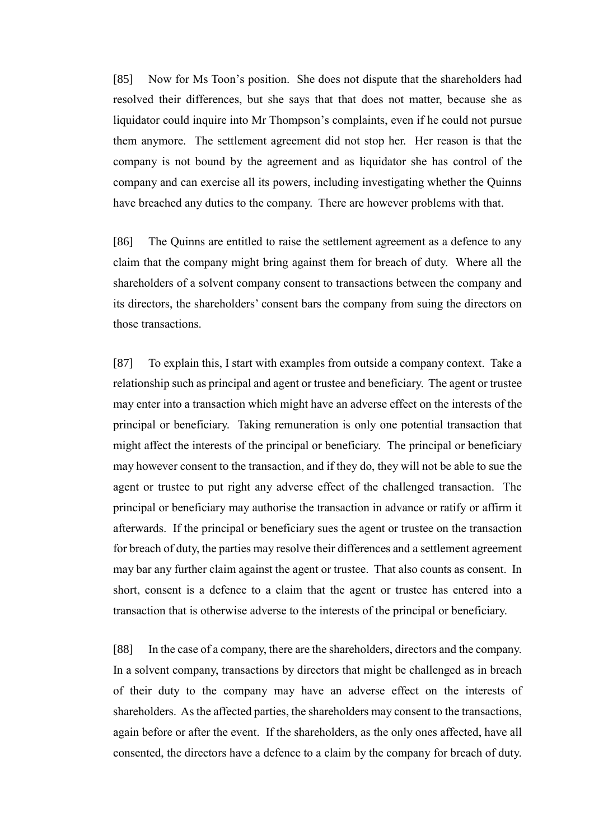[85] Now for Ms Toon's position. She does not dispute that the shareholders had resolved their differences, but she says that that does not matter, because she as liquidator could inquire into Mr Thompson's complaints, even if he could not pursue them anymore. The settlement agreement did not stop her. Her reason is that the company is not bound by the agreement and as liquidator she has control of the company and can exercise all its powers, including investigating whether the Quinns have breached any duties to the company. There are however problems with that.

[86] The Quinns are entitled to raise the settlement agreement as a defence to any claim that the company might bring against them for breach of duty. Where all the shareholders of a solvent company consent to transactions between the company and its directors, the shareholders' consent bars the company from suing the directors on those transactions.

[87] To explain this, I start with examples from outside a company context. Take a relationship such as principal and agent or trustee and beneficiary. The agent or trustee may enter into a transaction which might have an adverse effect on the interests of the principal or beneficiary. Taking remuneration is only one potential transaction that might affect the interests of the principal or beneficiary. The principal or beneficiary may however consent to the transaction, and if they do, they will not be able to sue the agent or trustee to put right any adverse effect of the challenged transaction. The principal or beneficiary may authorise the transaction in advance or ratify or affirm it afterwards. If the principal or beneficiary sues the agent or trustee on the transaction for breach of duty, the parties may resolve their differences and a settlement agreement may bar any further claim against the agent or trustee. That also counts as consent. In short, consent is a defence to a claim that the agent or trustee has entered into a transaction that is otherwise adverse to the interests of the principal or beneficiary.

[88] In the case of a company, there are the shareholders, directors and the company. In a solvent company, transactions by directors that might be challenged as in breach of their duty to the company may have an adverse effect on the interests of shareholders. As the affected parties, the shareholders may consent to the transactions, again before or after the event. If the shareholders, as the only ones affected, have all consented, the directors have a defence to a claim by the company for breach of duty.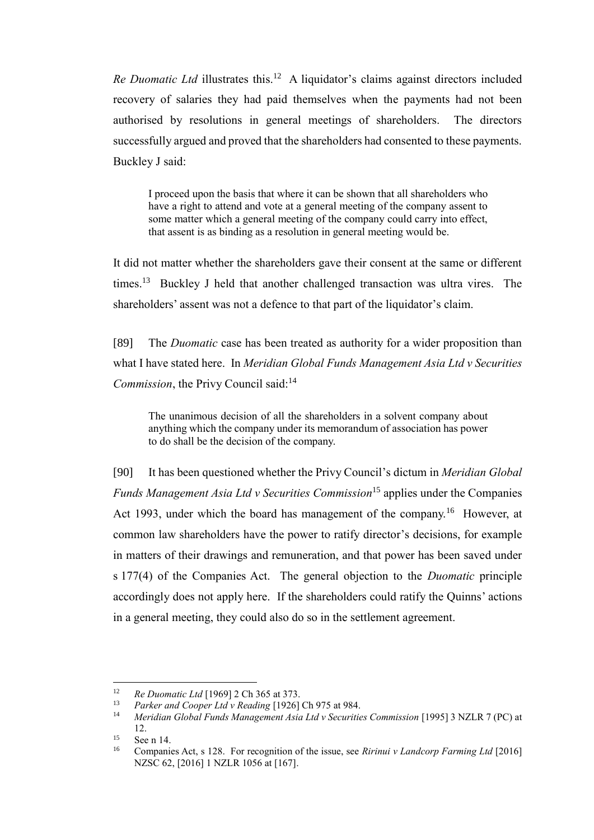Re Duomatic Ltd illustrates this.<sup>12</sup> A liquidator's claims against directors included recovery of salaries they had paid themselves when the payments had not been authorised by resolutions in general meetings of shareholders. The directors successfully argued and proved that the shareholders had consented to these payments. Buckley J said:

I proceed upon the basis that where it can be shown that all shareholders who have a right to attend and vote at a general meeting of the company assent to some matter which a general meeting of the company could carry into effect, that assent is as binding as a resolution in general meeting would be.

It did not matter whether the shareholders gave their consent at the same or different times.<sup>13</sup> Buckley J held that another challenged transaction was ultra vires. The shareholders' assent was not a defence to that part of the liquidator's claim.

[89] The *Duomatic* case has been treated as authority for a wider proposition than what I have stated here. In *Meridian Global Funds Management Asia Ltd v Securities Commission*, the Privy Council said:<sup>14</sup>

The unanimous decision of all the shareholders in a solvent company about anything which the company under its memorandum of association has power to do shall be the decision of the company.

[90] It has been questioned whether the Privy Council's dictum in *Meridian Global Funds Management Asia Ltd v Securities Commission*<sup>15</sup> applies under the Companies Act 1993, under which the board has management of the company.<sup>16</sup> However, at common law shareholders have the power to ratify director's decisions, for example in matters of their drawings and remuneration, and that power has been saved under s 177(4) of the Companies Act. The general objection to the *Duomatic* principle accordingly does not apply here. If the shareholders could ratify the Quinns' actions in a general meeting, they could also do so in the settlement agreement.

 $\overline{a}$ 

<sup>&</sup>lt;sup>12</sup> *Re Duomatic Ltd* [1969] 2 Ch 365 at 373.<br><sup>13</sup> *Raykay and Coopey I td y Boading* [1026]

<sup>13</sup> *Parker and Cooper Ltd v Reading* [1926] Ch 975 at 984.

<sup>14</sup> *Meridian Global Funds Management Asia Ltd v Securities Commission* [1995] 3 NZLR 7 (PC) at 12.

<sup>&</sup>lt;sup>15</sup> See n 14.

<sup>16</sup> Companies Act, s 128. For recognition of the issue, see *Ririnui v Landcorp Farming Ltd* [2016] NZSC 62, [2016] 1 NZLR 1056 at [167].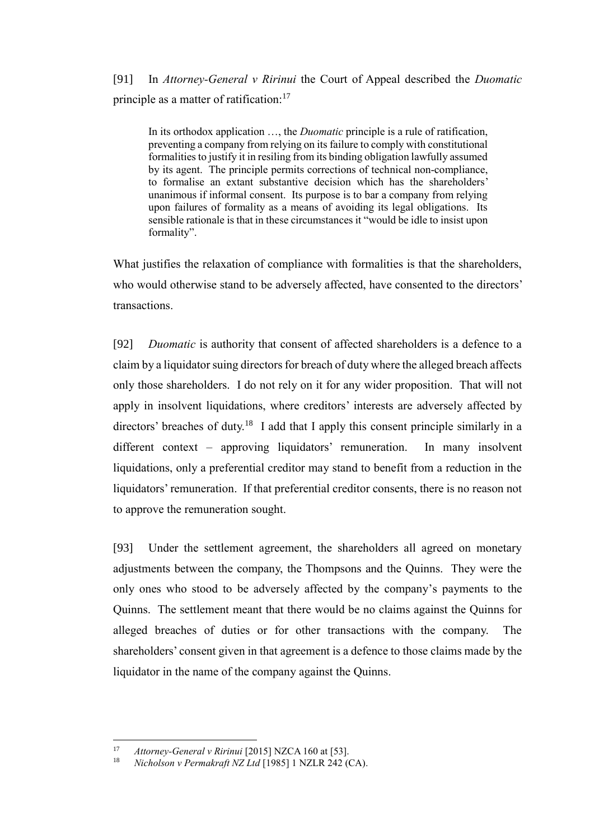# [91] In *Attorney-General v Ririnui* the Court of Appeal described the *Duomatic* principle as a matter of ratification:<sup>17</sup>

In its orthodox application …, the *Duomatic* principle is a rule of ratification, preventing a company from relying on its failure to comply with constitutional formalities to justify it in resiling from its binding obligation lawfully assumed by its agent. The principle permits corrections of technical non-compliance, to formalise an extant substantive decision which has the shareholders' unanimous if informal consent. Its purpose is to bar a company from relying upon failures of formality as a means of avoiding its legal obligations. Its sensible rationale is that in these circumstances it "would be idle to insist upon formality".

What justifies the relaxation of compliance with formalities is that the shareholders, who would otherwise stand to be adversely affected, have consented to the directors' transactions.

[92] *Duomatic* is authority that consent of affected shareholders is a defence to a claim by a liquidator suing directors for breach of duty where the alleged breach affects only those shareholders. I do not rely on it for any wider proposition. That will not apply in insolvent liquidations, where creditors' interests are adversely affected by directors' breaches of duty.<sup>18</sup> I add that I apply this consent principle similarly in a different context – approving liquidators' remuneration. In many insolvent liquidations, only a preferential creditor may stand to benefit from a reduction in the liquidators' remuneration. If that preferential creditor consents, there is no reason not to approve the remuneration sought.

[93] Under the settlement agreement, the shareholders all agreed on monetary adjustments between the company, the Thompsons and the Quinns. They were the only ones who stood to be adversely affected by the company's payments to the Quinns. The settlement meant that there would be no claims against the Quinns for alleged breaches of duties or for other transactions with the company. The shareholders' consent given in that agreement is a defence to those claims made by the liquidator in the name of the company against the Quinns.

 $17$ <sup>17</sup> *Attorney-General v Ririnui* [2015] NZCA 160 at [53].

<sup>18</sup> *Nicholson v Permakraft NZ Ltd* [1985] 1 NZLR 242 (CA).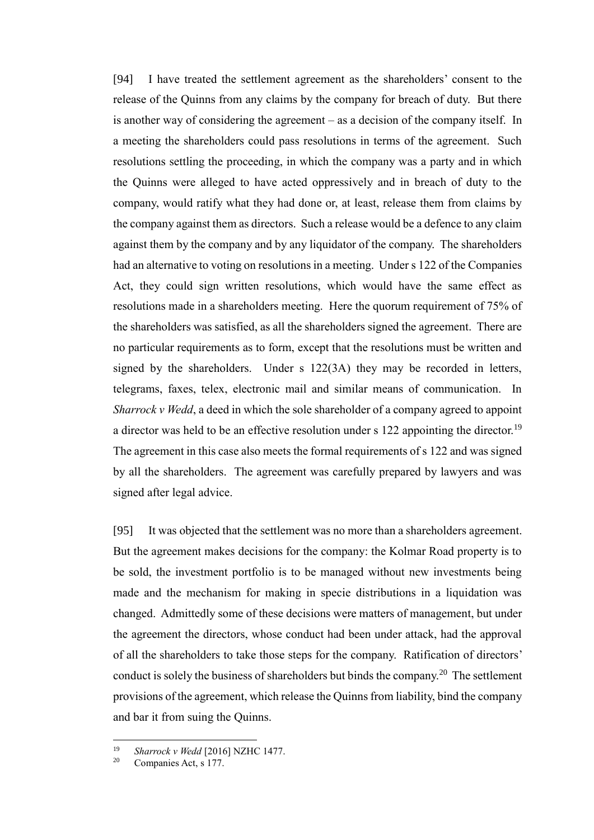[94] I have treated the settlement agreement as the shareholders' consent to the release of the Quinns from any claims by the company for breach of duty. But there is another way of considering the agreement – as a decision of the company itself. In a meeting the shareholders could pass resolutions in terms of the agreement. Such resolutions settling the proceeding, in which the company was a party and in which the Quinns were alleged to have acted oppressively and in breach of duty to the company, would ratify what they had done or, at least, release them from claims by the company against them as directors. Such a release would be a defence to any claim against them by the company and by any liquidator of the company. The shareholders had an alternative to voting on resolutions in a meeting. Under s 122 of the Companies Act, they could sign written resolutions, which would have the same effect as resolutions made in a shareholders meeting. Here the quorum requirement of 75% of the shareholders was satisfied, as all the shareholders signed the agreement. There are no particular requirements as to form, except that the resolutions must be written and signed by the shareholders. Under s 122(3A) they may be recorded in letters, telegrams, faxes, telex, electronic mail and similar means of communication. In *Sharrock v Wedd*, a deed in which the sole shareholder of a company agreed to appoint a director was held to be an effective resolution under s 122 appointing the director.<sup>19</sup> The agreement in this case also meets the formal requirements of s 122 and was signed by all the shareholders. The agreement was carefully prepared by lawyers and was signed after legal advice.

[95] It was objected that the settlement was no more than a shareholders agreement. But the agreement makes decisions for the company: the Kolmar Road property is to be sold, the investment portfolio is to be managed without new investments being made and the mechanism for making in specie distributions in a liquidation was changed. Admittedly some of these decisions were matters of management, but under the agreement the directors, whose conduct had been under attack, had the approval of all the shareholders to take those steps for the company. Ratification of directors' conduct is solely the business of shareholders but binds the company.<sup>20</sup> The settlement provisions of the agreement, which release the Quinns from liability, bind the company and bar it from suing the Quinns.

<sup>19</sup> <sup>19</sup> *Sharrock v Wedd* [2016] NZHC 1477.

Companies Act, s 177.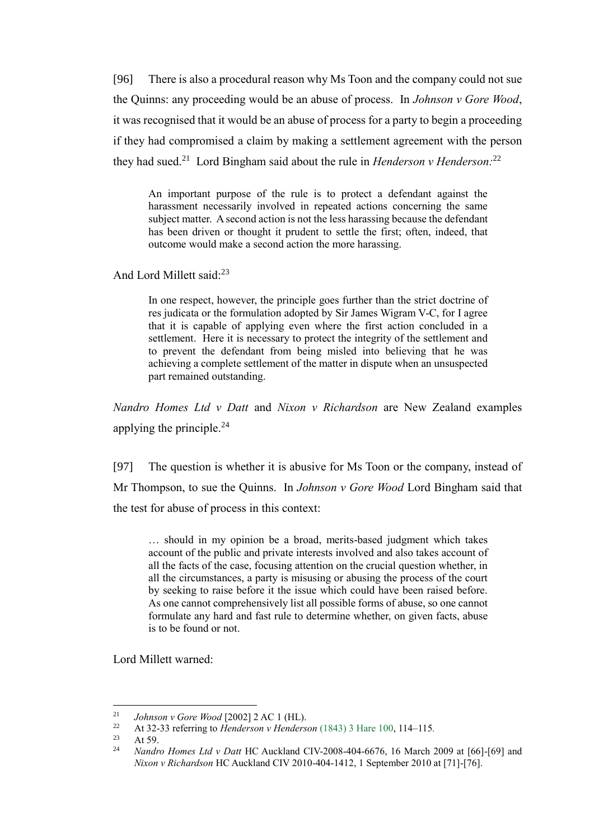[96] There is also a procedural reason why Ms Toon and the company could not sue the Quinns: any proceeding would be an abuse of process. In *Johnson v Gore Wood*, it was recognised that it would be an abuse of process for a party to begin a proceeding if they had compromised a claim by making a settlement agreement with the person they had sued.<sup>21</sup> Lord Bingham said about the rule in *Henderson v Henderson*:<sup>22</sup>

An important purpose of the rule is to protect a defendant against the harassment necessarily involved in repeated actions concerning the same subject matter. A second action is not the less harassing because the defendant has been driven or thought it prudent to settle the first; often, indeed, that outcome would make a second action the more harassing.

And Lord Millett said:<sup>23</sup>

In one respect, however, the principle goes further than the strict doctrine of res judicata or the formulation adopted by Sir James Wigram V-C, for I agree that it is capable of applying even where the first action concluded in a settlement. Here it is necessary to protect the integrity of the settlement and to prevent the defendant from being misled into believing that he was achieving a complete settlement of the matter in dispute when an unsuspected part remained outstanding.

*Nandro Homes Ltd v Datt* and *Nixon v Richardson* are New Zealand examples applying the principle. $^{24}$ 

[97] The question is whether it is abusive for Ms Toon or the company, instead of Mr Thompson, to sue the Quinns. In *Johnson v Gore Wood* Lord Bingham said that the test for abuse of process in this context:

… should in my opinion be a broad, merits-based judgment which takes account of the public and private interests involved and also takes account of all the facts of the case, focusing attention on the crucial question whether, in all the circumstances, a party is misusing or abusing the process of the court by seeking to raise before it the issue which could have been raised before. As one cannot comprehensively list all possible forms of abuse, so one cannot formulate any hard and fast rule to determine whether, on given facts, abuse is to be found or not.

Lord Millett warned:

 $21$ <sup>21</sup> *Johnson v Gore Wood* [2002] 2 AC 1 (HL).<br><sup>22</sup> At <sup>2</sup>2 <sup>22</sup> referring to Handaugan v Handaug

<sup>22</sup> At 32-33 referring to *Henderson v Henderson* [\(1843\) 3](https://www.iclr.co.uk/document/2001001366/casereport_79808/html) Hare 100, 114–115*.*

 $23$  At 59.

<sup>24</sup> *Nandro Homes Ltd v Datt* HC Auckland CIV-2008-404-6676, 16 March 2009 at [66]-[69] and *Nixon v Richardson* HC Auckland CIV 2010-404-1412, 1 September 2010 at [71]-[76].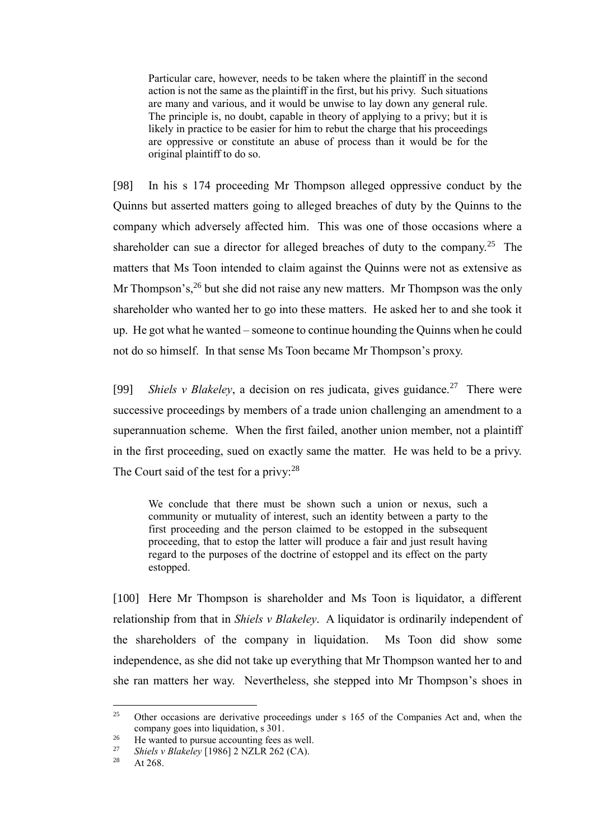Particular care, however, needs to be taken where the plaintiff in the second action is not the same as the plaintiff in the first, but his privy. Such situations are many and various, and it would be unwise to lay down any general rule. The principle is, no doubt, capable in theory of applying to a privy; but it is likely in practice to be easier for him to rebut the charge that his proceedings are oppressive or constitute an abuse of process than it would be for the original plaintiff to do so.

[98] In his s 174 proceeding Mr Thompson alleged oppressive conduct by the Quinns but asserted matters going to alleged breaches of duty by the Quinns to the company which adversely affected him. This was one of those occasions where a shareholder can sue a director for alleged breaches of duty to the company.<sup>25</sup> The matters that Ms Toon intended to claim against the Quinns were not as extensive as Mr Thompson's,  $26$  but she did not raise any new matters. Mr Thompson was the only shareholder who wanted her to go into these matters. He asked her to and she took it up. He got what he wanted – someone to continue hounding the Quinns when he could not do so himself. In that sense Ms Toon became Mr Thompson's proxy.

[99] *Shiels v Blakeley*, a decision on res judicata, gives guidance.<sup>27</sup> There were successive proceedings by members of a trade union challenging an amendment to a superannuation scheme. When the first failed, another union member, not a plaintiff in the first proceeding, sued on exactly same the matter. He was held to be a privy. The Court said of the test for a privy:  $28$ 

We conclude that there must be shown such a union or nexus, such a community or mutuality of interest, such an identity between a party to the first proceeding and the person claimed to be estopped in the subsequent proceeding, that to estop the latter will produce a fair and just result having regard to the purposes of the doctrine of estoppel and its effect on the party estopped.

[100] Here Mr Thompson is shareholder and Ms Toon is liquidator, a different relationship from that in *Shiels v Blakeley*. A liquidator is ordinarily independent of the shareholders of the company in liquidation. Ms Toon did show some independence, as she did not take up everything that Mr Thompson wanted her to and she ran matters her way. Nevertheless, she stepped into Mr Thompson's shoes in

 $25$ <sup>25</sup> Other occasions are derivative proceedings under s 165 of the Companies Act and, when the company goes into liquidation, s 301.

<sup>&</sup>lt;sup>26</sup> He wanted to pursue accounting fees as well.<br><sup>27</sup> Shigley Blakelay [1086] 2 NZI B 262 (CA)

<sup>&</sup>lt;sup>27</sup> *Shiels v Blakeley* [1986] 2 NZLR 262 (CA).

At  $268.$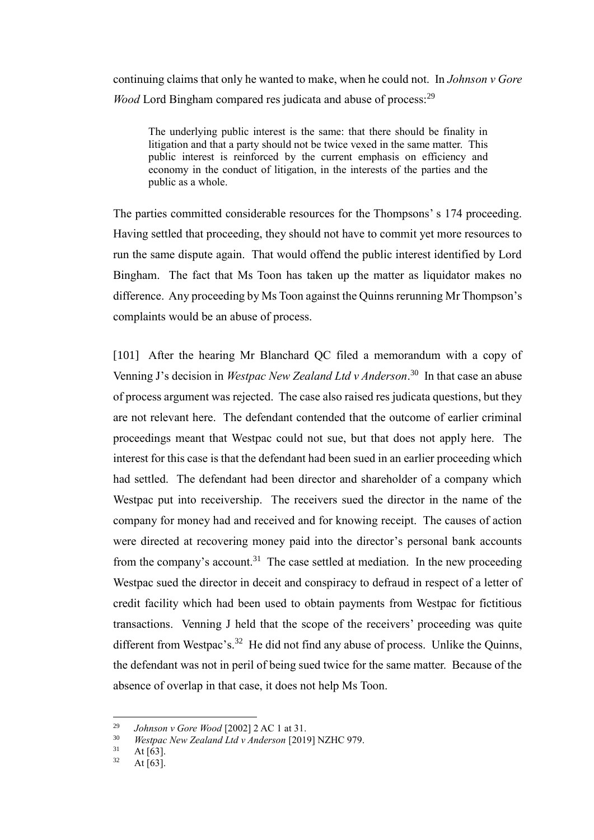continuing claims that only he wanted to make, when he could not. In *Johnson v Gore Wood* Lord Bingham compared res judicata and abuse of process:<sup>29</sup>

The underlying public interest is the same: that there should be finality in litigation and that a party should not be twice vexed in the same matter. This public interest is reinforced by the current emphasis on efficiency and economy in the conduct of litigation, in the interests of the parties and the public as a whole.

The parties committed considerable resources for the Thompsons' s 174 proceeding. Having settled that proceeding, they should not have to commit yet more resources to run the same dispute again. That would offend the public interest identified by Lord Bingham. The fact that Ms Toon has taken up the matter as liquidator makes no difference. Any proceeding by Ms Toon against the Quinns rerunning Mr Thompson's complaints would be an abuse of process.

[101] After the hearing Mr Blanchard QC filed a memorandum with a copy of Venning J's decision in *Westpac New Zealand Ltd v Anderson*. 30 In that case an abuse of process argument was rejected. The case also raised res judicata questions, but they are not relevant here. The defendant contended that the outcome of earlier criminal proceedings meant that Westpac could not sue, but that does not apply here. The interest for this case is that the defendant had been sued in an earlier proceeding which had settled. The defendant had been director and shareholder of a company which Westpac put into receivership. The receivers sued the director in the name of the company for money had and received and for knowing receipt. The causes of action were directed at recovering money paid into the director's personal bank accounts from the company's account.<sup>31</sup> The case settled at mediation. In the new proceeding Westpac sued the director in deceit and conspiracy to defraud in respect of a letter of credit facility which had been used to obtain payments from Westpac for fictitious transactions. Venning J held that the scope of the receivers' proceeding was quite different from Westpac's.<sup>32</sup> He did not find any abuse of process. Unlike the Quinns, the defendant was not in peril of being sued twice for the same matter. Because of the absence of overlap in that case, it does not help Ms Toon.

 $\overline{a}$ 

<sup>29</sup> *Johnson v Gore Wood* [2002] 2 AC 1 at 31.

<sup>30</sup> *Westpac New Zealand Ltd v Anderson* [2019] NZHC 979.

 $31$  At [63].

At  $[63]$ .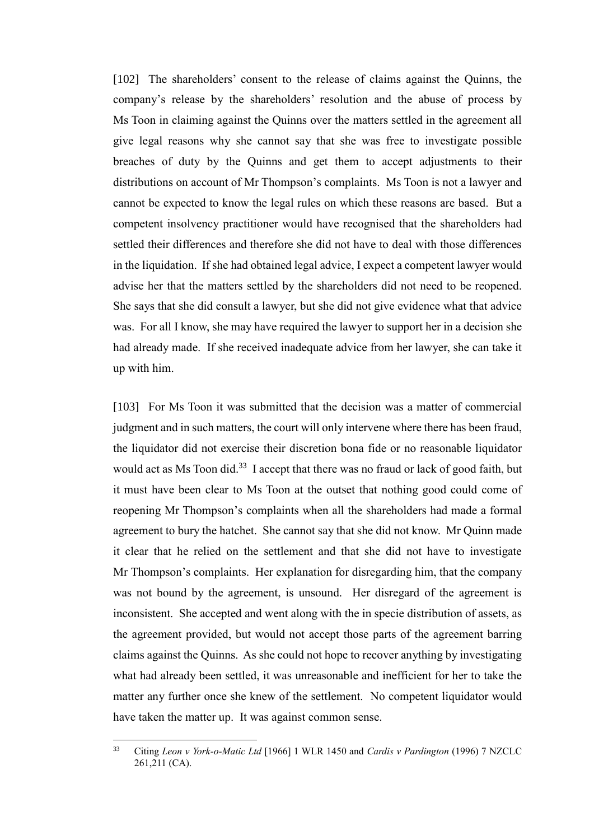[102] The shareholders' consent to the release of claims against the Quinns, the company's release by the shareholders' resolution and the abuse of process by Ms Toon in claiming against the Quinns over the matters settled in the agreement all give legal reasons why she cannot say that she was free to investigate possible breaches of duty by the Quinns and get them to accept adjustments to their distributions on account of Mr Thompson's complaints. Ms Toon is not a lawyer and cannot be expected to know the legal rules on which these reasons are based. But a competent insolvency practitioner would have recognised that the shareholders had settled their differences and therefore she did not have to deal with those differences in the liquidation. If she had obtained legal advice, I expect a competent lawyer would advise her that the matters settled by the shareholders did not need to be reopened. She says that she did consult a lawyer, but she did not give evidence what that advice was. For all I know, she may have required the lawyer to support her in a decision she had already made. If she received inadequate advice from her lawyer, she can take it up with him.

[103] For Ms Toon it was submitted that the decision was a matter of commercial judgment and in such matters, the court will only intervene where there has been fraud, the liquidator did not exercise their discretion bona fide or no reasonable liquidator would act as Ms Toon did.<sup>33</sup> I accept that there was no fraud or lack of good faith, but it must have been clear to Ms Toon at the outset that nothing good could come of reopening Mr Thompson's complaints when all the shareholders had made a formal agreement to bury the hatchet. She cannot say that she did not know. Mr Quinn made it clear that he relied on the settlement and that she did not have to investigate Mr Thompson's complaints. Her explanation for disregarding him, that the company was not bound by the agreement, is unsound. Her disregard of the agreement is inconsistent. She accepted and went along with the in specie distribution of assets, as the agreement provided, but would not accept those parts of the agreement barring claims against the Quinns. As she could not hope to recover anything by investigating what had already been settled, it was unreasonable and inefficient for her to take the matter any further once she knew of the settlement. No competent liquidator would have taken the matter up. It was against common sense.

 $33$ <sup>33</sup> Citing *Leon v York-o-Matic Ltd* [1966] 1 WLR 1450 and *Cardis v Pardington* (1996) 7 NZCLC 261,211 (CA).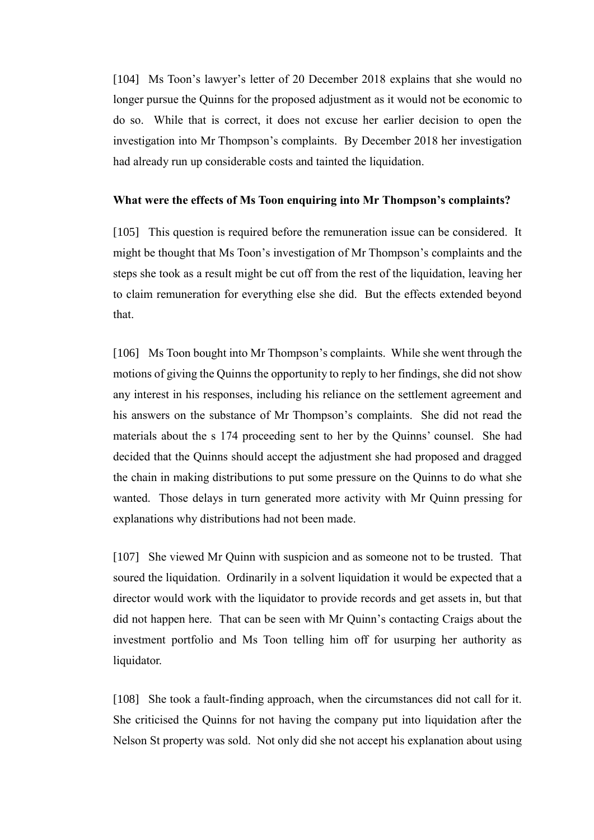[104] Ms Toon's lawyer's letter of 20 December 2018 explains that she would no longer pursue the Quinns for the proposed adjustment as it would not be economic to do so. While that is correct, it does not excuse her earlier decision to open the investigation into Mr Thompson's complaints. By December 2018 her investigation had already run up considerable costs and tainted the liquidation.

#### **What were the effects of Ms Toon enquiring into Mr Thompson's complaints?**

[105] This question is required before the remuneration issue can be considered. It might be thought that Ms Toon's investigation of Mr Thompson's complaints and the steps she took as a result might be cut off from the rest of the liquidation, leaving her to claim remuneration for everything else she did. But the effects extended beyond that.

[106] Ms Toon bought into Mr Thompson's complaints. While she went through the motions of giving the Quinns the opportunity to reply to her findings, she did not show any interest in his responses, including his reliance on the settlement agreement and his answers on the substance of Mr Thompson's complaints. She did not read the materials about the s 174 proceeding sent to her by the Quinns' counsel. She had decided that the Quinns should accept the adjustment she had proposed and dragged the chain in making distributions to put some pressure on the Quinns to do what she wanted. Those delays in turn generated more activity with Mr Quinn pressing for explanations why distributions had not been made.

[107] She viewed Mr Quinn with suspicion and as someone not to be trusted. That soured the liquidation. Ordinarily in a solvent liquidation it would be expected that a director would work with the liquidator to provide records and get assets in, but that did not happen here. That can be seen with Mr Quinn's contacting Craigs about the investment portfolio and Ms Toon telling him off for usurping her authority as liquidator.

[108] She took a fault-finding approach, when the circumstances did not call for it. She criticised the Quinns for not having the company put into liquidation after the Nelson St property was sold. Not only did she not accept his explanation about using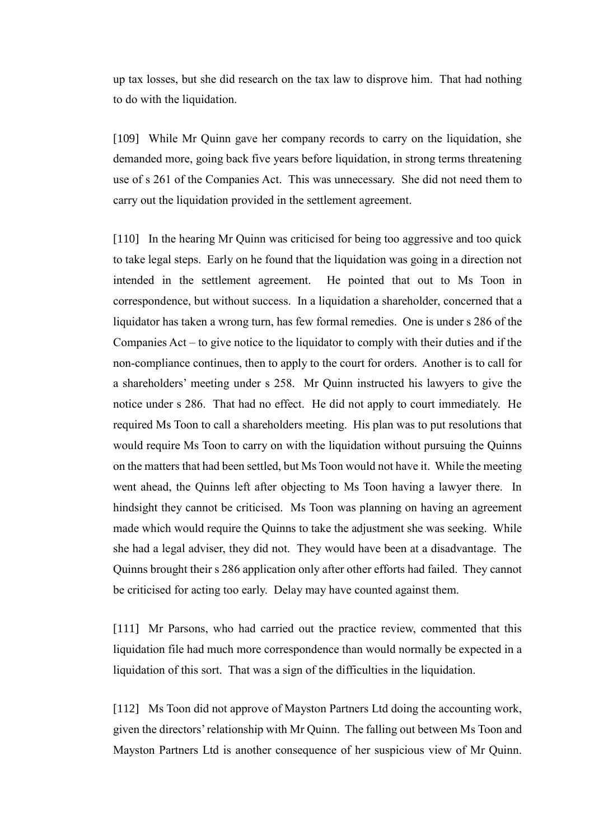up tax losses, but she did research on the tax law to disprove him. That had nothing to do with the liquidation.

[109] While Mr Quinn gave her company records to carry on the liquidation, she demanded more, going back five years before liquidation, in strong terms threatening use of s 261 of the Companies Act. This was unnecessary. She did not need them to carry out the liquidation provided in the settlement agreement.

[110] In the hearing Mr Quinn was criticised for being too aggressive and too quick to take legal steps. Early on he found that the liquidation was going in a direction not intended in the settlement agreement. He pointed that out to Ms Toon in correspondence, but without success. In a liquidation a shareholder, concerned that a liquidator has taken a wrong turn, has few formal remedies. One is under s 286 of the Companies Act – to give notice to the liquidator to comply with their duties and if the non-compliance continues, then to apply to the court for orders. Another is to call for a shareholders' meeting under s 258. Mr Quinn instructed his lawyers to give the notice under s 286. That had no effect. He did not apply to court immediately. He required Ms Toon to call a shareholders meeting. His plan was to put resolutions that would require Ms Toon to carry on with the liquidation without pursuing the Quinns on the matters that had been settled, but Ms Toon would not have it. While the meeting went ahead, the Quinns left after objecting to Ms Toon having a lawyer there. In hindsight they cannot be criticised. Ms Toon was planning on having an agreement made which would require the Quinns to take the adjustment she was seeking. While she had a legal adviser, they did not. They would have been at a disadvantage. The Quinns brought their s 286 application only after other efforts had failed. They cannot be criticised for acting too early. Delay may have counted against them.

[111] Mr Parsons, who had carried out the practice review, commented that this liquidation file had much more correspondence than would normally be expected in a liquidation of this sort. That was a sign of the difficulties in the liquidation.

[112] Ms Toon did not approve of Mayston Partners Ltd doing the accounting work, given the directors' relationship with Mr Quinn. The falling out between Ms Toon and Mayston Partners Ltd is another consequence of her suspicious view of Mr Quinn.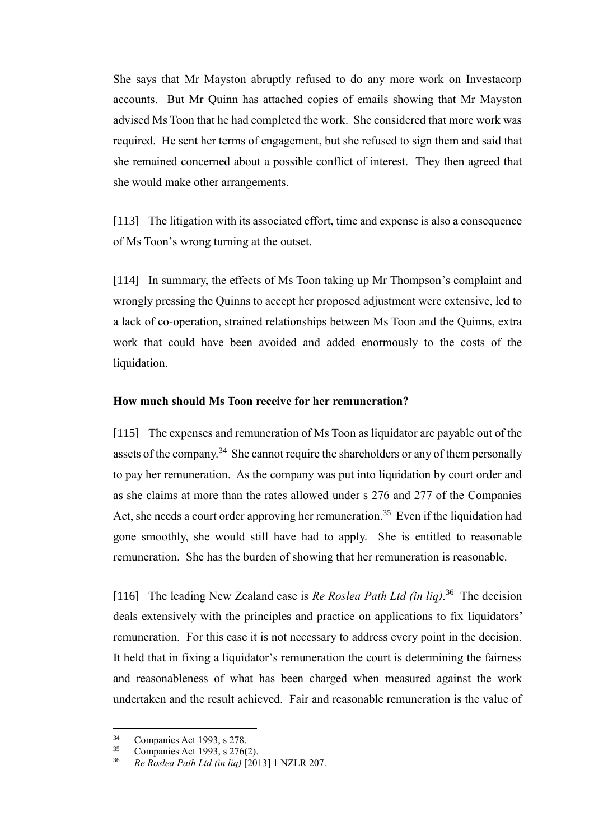She says that Mr Mayston abruptly refused to do any more work on Investacorp accounts. But Mr Quinn has attached copies of emails showing that Mr Mayston advised Ms Toon that he had completed the work. She considered that more work was required. He sent her terms of engagement, but she refused to sign them and said that she remained concerned about a possible conflict of interest. They then agreed that she would make other arrangements.

[113] The litigation with its associated effort, time and expense is also a consequence of Ms Toon's wrong turning at the outset.

[114] In summary, the effects of Ms Toon taking up Mr Thompson's complaint and wrongly pressing the Quinns to accept her proposed adjustment were extensive, led to a lack of co-operation, strained relationships between Ms Toon and the Quinns, extra work that could have been avoided and added enormously to the costs of the liquidation.

#### **How much should Ms Toon receive for her remuneration?**

[115] The expenses and remuneration of Ms Toon as liquidator are payable out of the assets of the company.<sup>34</sup> She cannot require the shareholders or any of them personally to pay her remuneration. As the company was put into liquidation by court order and as she claims at more than the rates allowed under s 276 and 277 of the Companies Act, she needs a court order approving her remuneration.<sup>35</sup> Even if the liquidation had gone smoothly, she would still have had to apply. She is entitled to reasonable remuneration. She has the burden of showing that her remuneration is reasonable.

[116] The leading New Zealand case is *Re Roslea Path Ltd (in liq)*.<sup>36</sup> The decision deals extensively with the principles and practice on applications to fix liquidators' remuneration. For this case it is not necessary to address every point in the decision. It held that in fixing a liquidator's remuneration the court is determining the fairness and reasonableness of what has been charged when measured against the work undertaken and the result achieved. Fair and reasonable remuneration is the value of

 $\overline{a}$ 

<sup>&</sup>lt;sup>34</sup> Companies Act 1993, s 278.

Companies Act 1993, s 276(2).

<sup>36</sup> *Re Roslea Path Ltd (in liq)* [2013] 1 NZLR 207.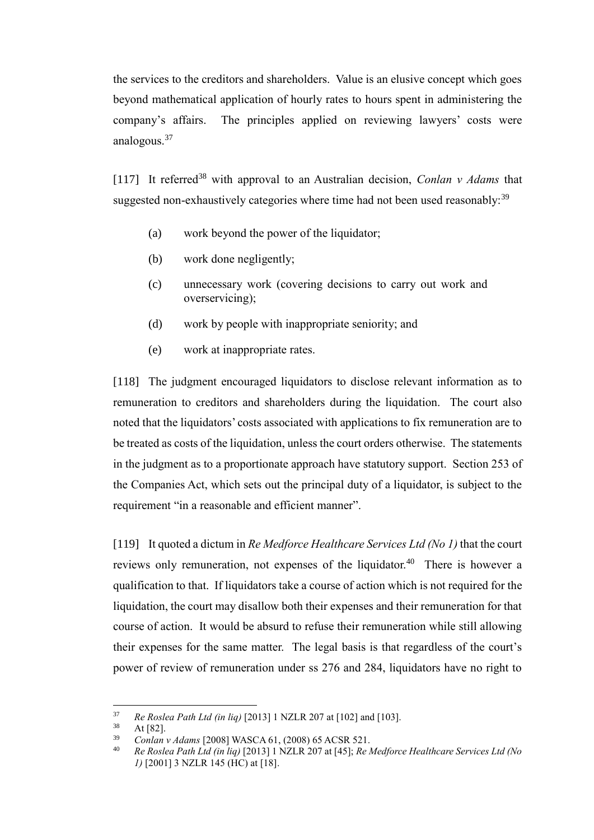the services to the creditors and shareholders. Value is an elusive concept which goes beyond mathematical application of hourly rates to hours spent in administering the company's affairs. The principles applied on reviewing lawyers' costs were analogous.<sup>37</sup>

[117] It referred<sup>38</sup> with approval to an Australian decision, *Conlan v Adams* that suggested non-exhaustively categories where time had not been used reasonably:<sup>39</sup>

- (a) work beyond the power of the liquidator;
- (b) work done negligently;
- (c) unnecessary work (covering decisions to carry out work and overservicing);
- (d) work by people with inappropriate seniority; and
- (e) work at inappropriate rates.

[118] The judgment encouraged liquidators to disclose relevant information as to remuneration to creditors and shareholders during the liquidation. The court also noted that the liquidators' costs associated with applications to fix remuneration are to be treated as costs of the liquidation, unless the court orders otherwise. The statements in the judgment as to a proportionate approach have statutory support. Section 253 of the Companies Act, which sets out the principal duty of a liquidator, is subject to the requirement "in a reasonable and efficient manner".

[119] It quoted a dictum in *Re Medforce Healthcare Services Ltd (No 1)* that the court reviews only remuneration, not expenses of the liquidator.<sup>40</sup> There is however a qualification to that. If liquidators take a course of action which is not required for the liquidation, the court may disallow both their expenses and their remuneration for that course of action. It would be absurd to refuse their remuneration while still allowing their expenses for the same matter. The legal basis is that regardless of the court's power of review of remuneration under ss 276 and 284, liquidators have no right to

 $37$ <sup>37</sup> *Re Roslea Path Ltd (in liq)* [2013] 1 NZLR 207 at [102] and [103].

At [82].

<sup>39</sup> *Conlan v Adams* [2008] WASCA 61, (2008) 65 ACSR 521.

<sup>40</sup> *Re Roslea Path Ltd (in liq)* [2013] 1 NZLR 207 at [45]; *Re Medforce Healthcare Services Ltd (No 1)* [2001] 3 NZLR 145 (HC) at [18].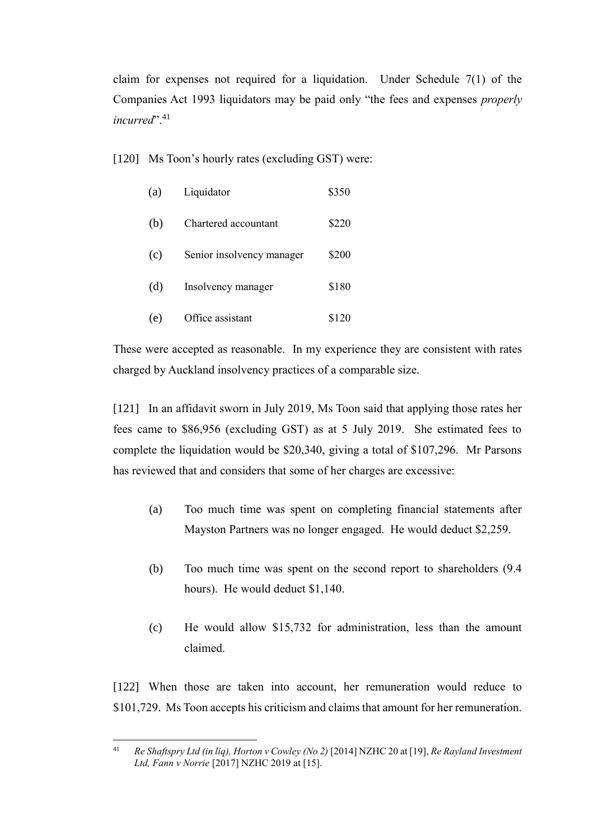claim for expenses not required for a liquidation. Under Schedule 7(1) of the Companies Act 1993 liquidators may be paid only "the fees and expenses *properly incurred*". 41

[120] Ms Toon's hourly rates (excluding GST) were:

| (a) | Liquidator                | \$350 |
|-----|---------------------------|-------|
| (b) | Chartered accountant      | \$220 |
| (c) | Senior insolvency manager | \$200 |
| (d) | Insolvency manager        | \$180 |
| (e) | Office assistant          | \$120 |

These were accepted as reasonable. In my experience they are consistent with rates charged by Auckland insolvency practices of a comparable size.

[121] In an affidavit sworn in July 2019, Ms Toon said that applying those rates her fees came to \$86,956 (excluding GST) as at 5 July 2019. She estimated fees to complete the liquidation would be \$20,340, giving a total of \$107,296. Mr Parsons has reviewed that and considers that some of her charges are excessive:

- (a) Too much time was spent on completing financial statements after Mayston Partners was no longer engaged. He would deduct \$2,259.
- (b) Too much time was spent on the second report to shareholders (9.4 hours). He would deduct \$1,140.
- (c) He would allow \$15,732 for administration, less than the amount claimed.

[122] When those are taken into account, her remuneration would reduce to \$101,729. Ms Toon accepts his criticism and claims that amount for her remuneration.

 $41$ <sup>41</sup> *Re Shaftspry Ltd (in liq), Horton v Cowley (No 2)* [2014] NZHC 20 at [19], *Re Rayland Investment Ltd, Fann v Norrie* [2017] NZHC 2019 at [15].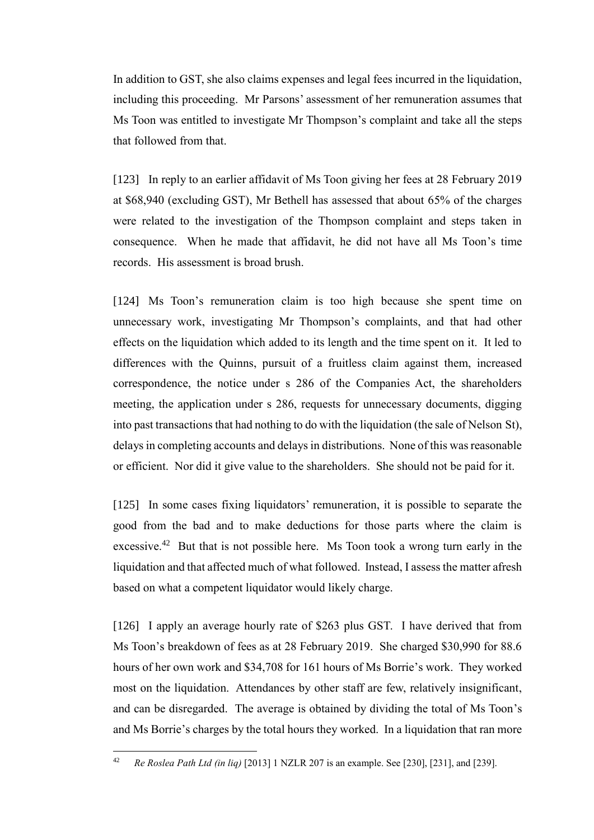In addition to GST, she also claims expenses and legal fees incurred in the liquidation, including this proceeding. Mr Parsons' assessment of her remuneration assumes that Ms Toon was entitled to investigate Mr Thompson's complaint and take all the steps that followed from that.

[123] In reply to an earlier affidavit of Ms Toon giving her fees at 28 February 2019 at \$68,940 (excluding GST), Mr Bethell has assessed that about 65% of the charges were related to the investigation of the Thompson complaint and steps taken in consequence. When he made that affidavit, he did not have all Ms Toon's time records. His assessment is broad brush.

[124] Ms Toon's remuneration claim is too high because she spent time on unnecessary work, investigating Mr Thompson's complaints, and that had other effects on the liquidation which added to its length and the time spent on it. It led to differences with the Quinns, pursuit of a fruitless claim against them, increased correspondence, the notice under s 286 of the Companies Act, the shareholders meeting, the application under s 286, requests for unnecessary documents, digging into past transactions that had nothing to do with the liquidation (the sale of Nelson St), delays in completing accounts and delays in distributions. None of this was reasonable or efficient. Nor did it give value to the shareholders. She should not be paid for it.

[125] In some cases fixing liquidators' remuneration, it is possible to separate the good from the bad and to make deductions for those parts where the claim is excessive.<sup>42</sup> But that is not possible here. Ms Toon took a wrong turn early in the liquidation and that affected much of what followed. Instead, I assess the matter afresh based on what a competent liquidator would likely charge.

[126] I apply an average hourly rate of \$263 plus GST. I have derived that from Ms Toon's breakdown of fees as at 28 February 2019. She charged \$30,990 for 88.6 hours of her own work and \$34,708 for 161 hours of Ms Borrie's work. They worked most on the liquidation. Attendances by other staff are few, relatively insignificant, and can be disregarded. The average is obtained by dividing the total of Ms Toon's and Ms Borrie's charges by the total hours they worked. In a liquidation that ran more

 $\overline{a}$ 

<sup>42</sup> *Re Roslea Path Ltd (in liq)* [2013] 1 NZLR 207 is an example. See [230], [231], and [239].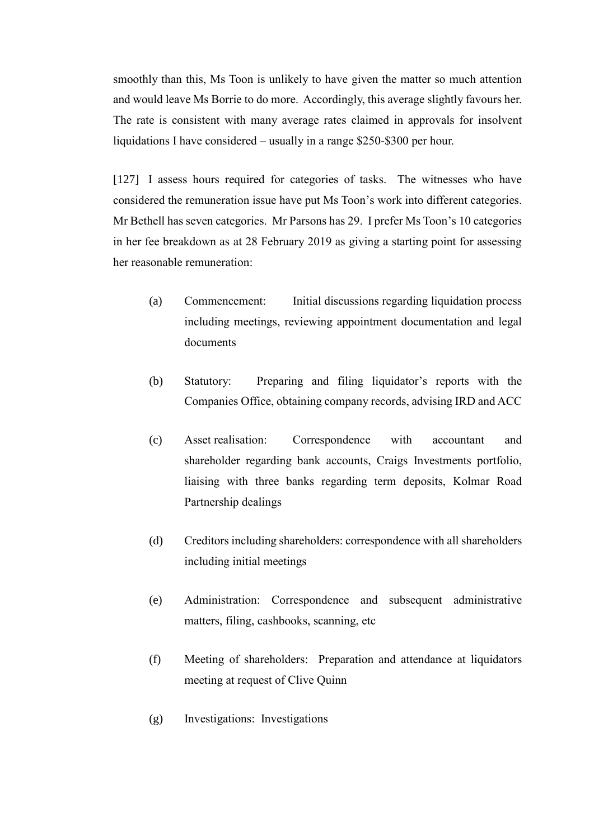smoothly than this, Ms Toon is unlikely to have given the matter so much attention and would leave Ms Borrie to do more. Accordingly, this average slightly favours her. The rate is consistent with many average rates claimed in approvals for insolvent liquidations I have considered – usually in a range \$250-\$300 per hour.

[127] I assess hours required for categories of tasks. The witnesses who have considered the remuneration issue have put Ms Toon's work into different categories. Mr Bethell has seven categories. Mr Parsons has 29. I prefer Ms Toon's 10 categories in her fee breakdown as at 28 February 2019 as giving a starting point for assessing her reasonable remuneration:

- (a) Commencement: Initial discussions regarding liquidation process including meetings, reviewing appointment documentation and legal documents
- (b) Statutory: Preparing and filing liquidator's reports with the Companies Office, obtaining company records, advising IRD and ACC
- (c) Asset realisation: Correspondence with accountant and shareholder regarding bank accounts, Craigs Investments portfolio, liaising with three banks regarding term deposits, Kolmar Road Partnership dealings
- (d) Creditors including shareholders: correspondence with all shareholders including initial meetings
- (e) Administration: Correspondence and subsequent administrative matters, filing, cashbooks, scanning, etc
- (f) Meeting of shareholders: Preparation and attendance at liquidators meeting at request of Clive Quinn
- (g) Investigations: Investigations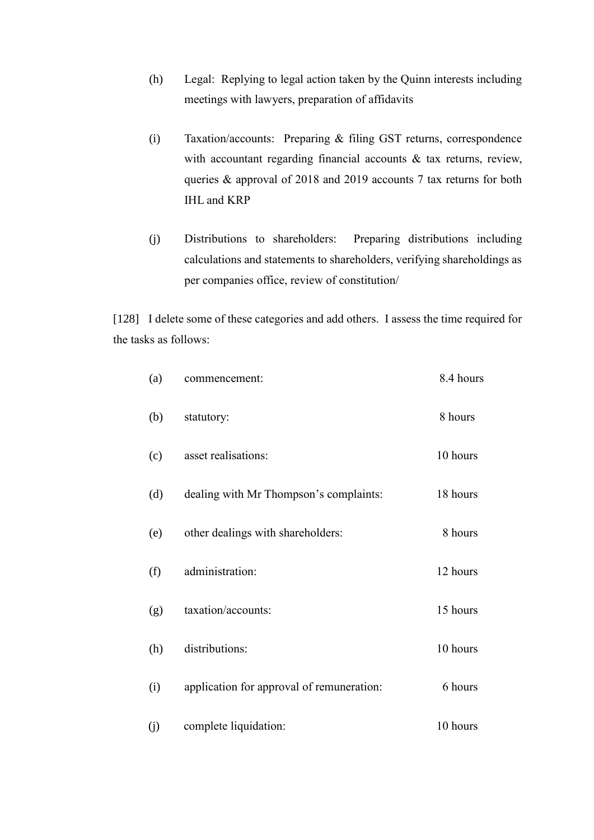- (h) Legal: Replying to legal action taken by the Quinn interests including meetings with lawyers, preparation of affidavits
- (i) Taxation/accounts: Preparing & filing GST returns, correspondence with accountant regarding financial accounts & tax returns, review, queries & approval of 2018 and 2019 accounts 7 tax returns for both IHL and KRP
- (j) Distributions to shareholders: Preparing distributions including calculations and statements to shareholders, verifying shareholdings as per companies office, review of constitution/

[128] I delete some of these categories and add others. I assess the time required for the tasks as follows:

| (a) | commencement:                             | 8.4 hours |
|-----|-------------------------------------------|-----------|
| (b) | statutory:                                | 8 hours   |
| (c) | asset realisations:                       | 10 hours  |
| (d) | dealing with Mr Thompson's complaints:    | 18 hours  |
| (e) | other dealings with shareholders:         | 8 hours   |
| (f) | administration:                           | 12 hours  |
| (g) | taxation/accounts:                        | 15 hours  |
| (h) | distributions:                            | 10 hours  |
| (i) | application for approval of remuneration: | 6 hours   |
| (j) | complete liquidation:                     | 10 hours  |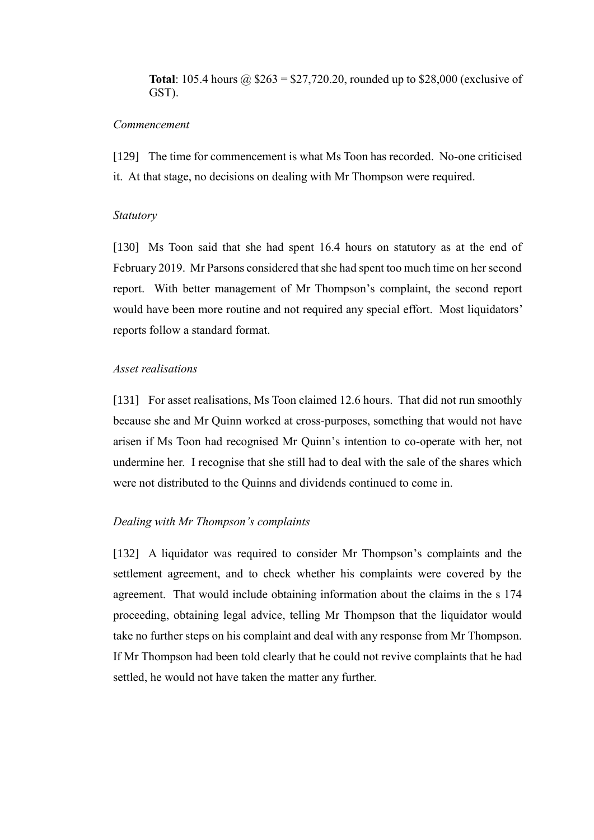**Total**: 105.4 hours  $\omega$  \$263 = \$27,720.20, rounded up to \$28,000 (exclusive of GST).

#### *Commencement*

[129] The time for commencement is what Ms Toon has recorded. No-one criticised it. At that stage, no decisions on dealing with Mr Thompson were required.

#### *Statutory*

[130] Ms Toon said that she had spent 16.4 hours on statutory as at the end of February 2019. Mr Parsons considered that she had spent too much time on her second report. With better management of Mr Thompson's complaint, the second report would have been more routine and not required any special effort. Most liquidators' reports follow a standard format.

# *Asset realisations*

[131] For asset realisations, Ms Toon claimed 12.6 hours. That did not run smoothly because she and Mr Quinn worked at cross-purposes, something that would not have arisen if Ms Toon had recognised Mr Quinn's intention to co-operate with her, not undermine her. I recognise that she still had to deal with the sale of the shares which were not distributed to the Quinns and dividends continued to come in.

#### *Dealing with Mr Thompson's complaints*

[132] A liquidator was required to consider Mr Thompson's complaints and the settlement agreement, and to check whether his complaints were covered by the agreement. That would include obtaining information about the claims in the s 174 proceeding, obtaining legal advice, telling Mr Thompson that the liquidator would take no further steps on his complaint and deal with any response from Mr Thompson. If Mr Thompson had been told clearly that he could not revive complaints that he had settled, he would not have taken the matter any further.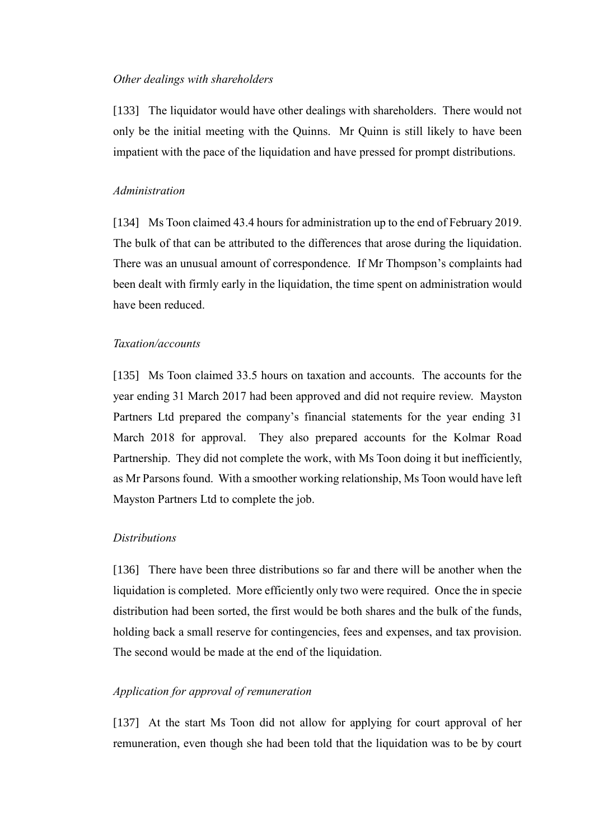#### *Other dealings with shareholders*

[133] The liquidator would have other dealings with shareholders. There would not only be the initial meeting with the Quinns. Mr Quinn is still likely to have been impatient with the pace of the liquidation and have pressed for prompt distributions.

# *Administration*

[134] Ms Toon claimed 43.4 hours for administration up to the end of February 2019. The bulk of that can be attributed to the differences that arose during the liquidation. There was an unusual amount of correspondence. If Mr Thompson's complaints had been dealt with firmly early in the liquidation, the time spent on administration would have been reduced.

# *Taxation/accounts*

[135] Ms Toon claimed 33.5 hours on taxation and accounts. The accounts for the year ending 31 March 2017 had been approved and did not require review. Mayston Partners Ltd prepared the company's financial statements for the year ending 31 March 2018 for approval. They also prepared accounts for the Kolmar Road Partnership. They did not complete the work, with Ms Toon doing it but inefficiently, as Mr Parsons found. With a smoother working relationship, Ms Toon would have left Mayston Partners Ltd to complete the job.

#### *Distributions*

[136] There have been three distributions so far and there will be another when the liquidation is completed. More efficiently only two were required. Once the in specie distribution had been sorted, the first would be both shares and the bulk of the funds, holding back a small reserve for contingencies, fees and expenses, and tax provision. The second would be made at the end of the liquidation.

#### *Application for approval of remuneration*

[137] At the start Ms Toon did not allow for applying for court approval of her remuneration, even though she had been told that the liquidation was to be by court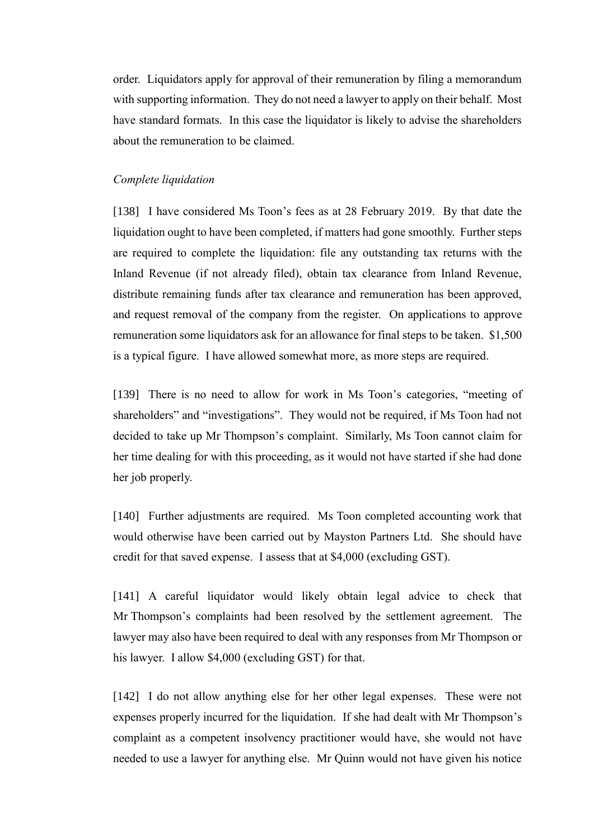order. Liquidators apply for approval of their remuneration by filing a memorandum with supporting information. They do not need a lawyer to apply on their behalf. Most have standard formats. In this case the liquidator is likely to advise the shareholders about the remuneration to be claimed.

#### *Complete liquidation*

[138] I have considered Ms Toon's fees as at 28 February 2019. By that date the liquidation ought to have been completed, if matters had gone smoothly. Further steps are required to complete the liquidation: file any outstanding tax returns with the Inland Revenue (if not already filed), obtain tax clearance from Inland Revenue, distribute remaining funds after tax clearance and remuneration has been approved, and request removal of the company from the register. On applications to approve remuneration some liquidators ask for an allowance for final steps to be taken. \$1,500 is a typical figure. I have allowed somewhat more, as more steps are required.

[139] There is no need to allow for work in Ms Toon's categories, "meeting of shareholders" and "investigations". They would not be required, if Ms Toon had not decided to take up Mr Thompson's complaint. Similarly, Ms Toon cannot claim for her time dealing for with this proceeding, as it would not have started if she had done her job properly.

[140] Further adjustments are required. Ms Toon completed accounting work that would otherwise have been carried out by Mayston Partners Ltd. She should have credit for that saved expense. I assess that at \$4,000 (excluding GST).

[141] A careful liquidator would likely obtain legal advice to check that Mr Thompson's complaints had been resolved by the settlement agreement. The lawyer may also have been required to deal with any responses from Mr Thompson or his lawyer. I allow \$4,000 (excluding GST) for that.

[142] I do not allow anything else for her other legal expenses. These were not expenses properly incurred for the liquidation. If she had dealt with Mr Thompson's complaint as a competent insolvency practitioner would have, she would not have needed to use a lawyer for anything else. Mr Quinn would not have given his notice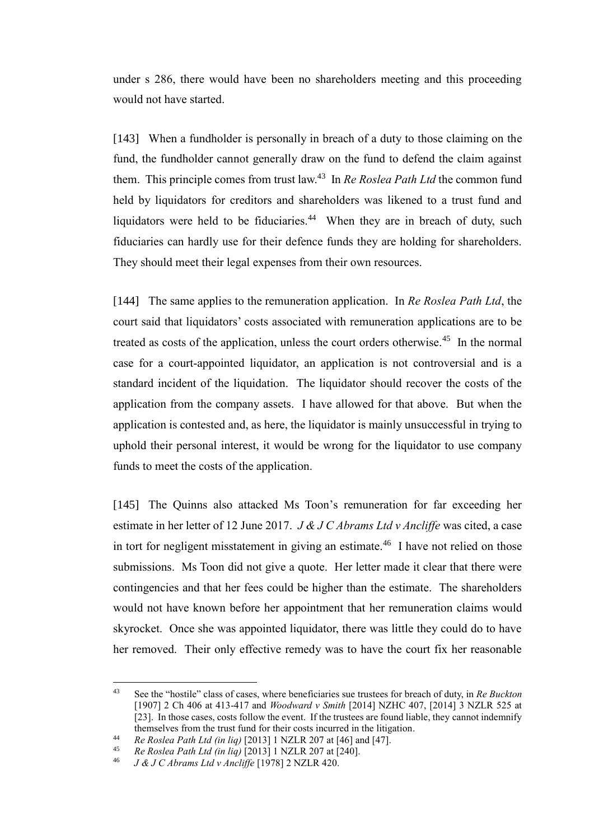under s 286, there would have been no shareholders meeting and this proceeding would not have started.

[143] When a fundholder is personally in breach of a duty to those claiming on the fund, the fundholder cannot generally draw on the fund to defend the claim against them. This principle comes from trust law.<sup>43</sup> In *Re Roslea Path Ltd* the common fund held by liquidators for creditors and shareholders was likened to a trust fund and liquidators were held to be fiduciaries.<sup>44</sup> When they are in breach of duty, such fiduciaries can hardly use for their defence funds they are holding for shareholders. They should meet their legal expenses from their own resources.

[144] The same applies to the remuneration application. In *Re Roslea Path Ltd*, the court said that liquidators' costs associated with remuneration applications are to be treated as costs of the application, unless the court orders otherwise.<sup>45</sup> In the normal case for a court-appointed liquidator, an application is not controversial and is a standard incident of the liquidation. The liquidator should recover the costs of the application from the company assets. I have allowed for that above. But when the application is contested and, as here, the liquidator is mainly unsuccessful in trying to uphold their personal interest, it would be wrong for the liquidator to use company funds to meet the costs of the application.

[145] The Quinns also attacked Ms Toon's remuneration for far exceeding her estimate in her letter of 12 June 2017. *J & J C Abrams Ltd v Ancliffe* was cited, a case in tort for negligent misstatement in giving an estimate.<sup>46</sup> I have not relied on those submissions. Ms Toon did not give a quote. Her letter made it clear that there were contingencies and that her fees could be higher than the estimate. The shareholders would not have known before her appointment that her remuneration claims would skyrocket. Once she was appointed liquidator, there was little they could do to have her removed. Their only effective remedy was to have the court fix her reasonable

 $\overline{a}$ 

<sup>43</sup> See the "hostile" class of cases, where beneficiaries sue trustees for breach of duty, in *Re Buckton*  [1907] 2 Ch 406 at 413-417 and *Woodward v Smith* [2014] NZHC 407, [2014] 3 NZLR 525 at [23]. In those cases, costs follow the event. If the trustees are found liable, they cannot indemnify themselves from the trust fund for their costs incurred in the litigation.

<sup>44</sup> *Re Roslea Path Ltd (in liq)* [2013] 1 NZLR 207 at [46] and [47].

<sup>45</sup> *Re Roslea Path Ltd (in liq)* [2013] 1 NZLR 207 at [240].

<sup>46</sup> *J & J C Abrams Ltd v Ancliffe* [1978] 2 NZLR 420.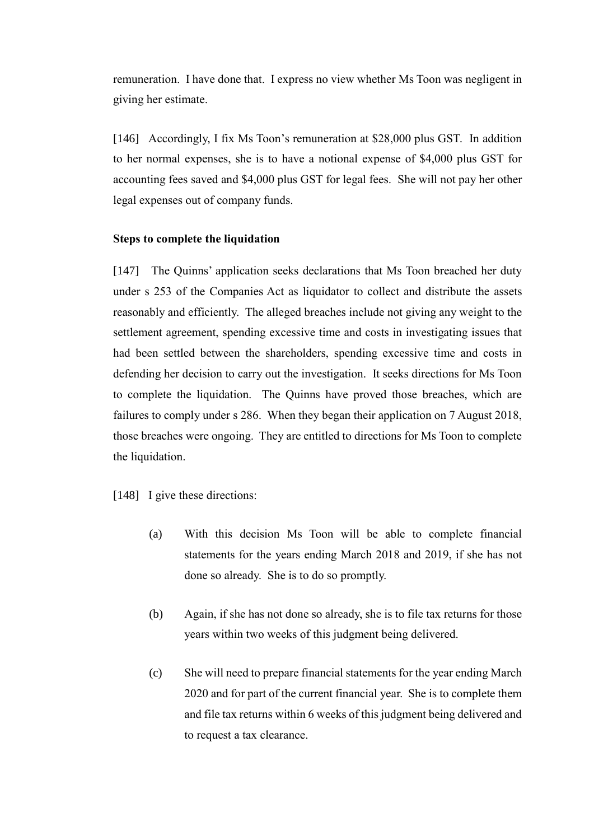remuneration. I have done that. I express no view whether Ms Toon was negligent in giving her estimate.

[146] Accordingly, I fix Ms Toon's remuneration at \$28,000 plus GST. In addition to her normal expenses, she is to have a notional expense of \$4,000 plus GST for accounting fees saved and \$4,000 plus GST for legal fees. She will not pay her other legal expenses out of company funds.

#### **Steps to complete the liquidation**

[147] The Quinns' application seeks declarations that Ms Toon breached her duty under s 253 of the Companies Act as liquidator to collect and distribute the assets reasonably and efficiently. The alleged breaches include not giving any weight to the settlement agreement, spending excessive time and costs in investigating issues that had been settled between the shareholders, spending excessive time and costs in defending her decision to carry out the investigation. It seeks directions for Ms Toon to complete the liquidation. The Quinns have proved those breaches, which are failures to comply under s 286. When they began their application on 7 August 2018, those breaches were ongoing. They are entitled to directions for Ms Toon to complete the liquidation.

[148] I give these directions:

- (a) With this decision Ms Toon will be able to complete financial statements for the years ending March 2018 and 2019, if she has not done so already. She is to do so promptly.
- (b) Again, if she has not done so already, she is to file tax returns for those years within two weeks of this judgment being delivered.
- (c) She will need to prepare financial statements for the year ending March 2020 and for part of the current financial year. She is to complete them and file tax returns within 6 weeks of this judgment being delivered and to request a tax clearance.